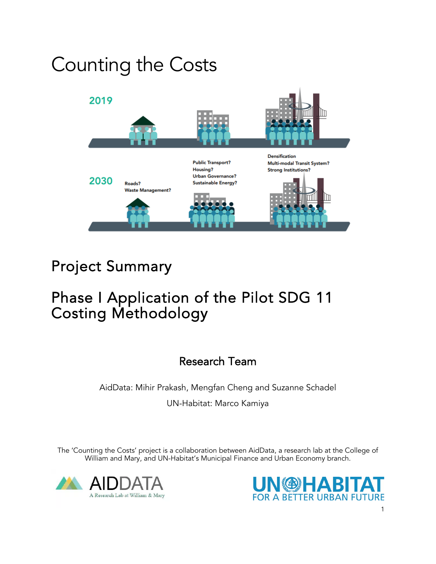# Counting the Costs



## Project Summary

### Phase I Application of the Pilot SDG 11 Costing Methodology

### Research Team

AidData: Mihir Prakash, Mengfan Cheng and Suzanne Schadel UN-Habitat: Marco Kamiya

The 'Counting the Costs' project is a collaboration between AidData, a research lab at the College of William and Mary, and UN-Habitat's Municipal Finance and Urban Economy branch.



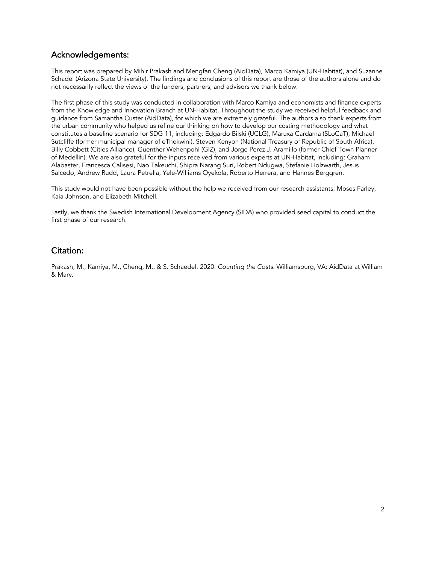#### Acknowledgements:

This report was prepared by Mihir Prakash and Mengfan Cheng (AidData), Marco Kamiya (UN-Habitat), and Suzanne Schadel (Arizona State University). The findings and conclusions of this report are those of the authors alone and do not necessarily reflect the views of the funders, partners, and advisors we thank below.

The first phase of this study was conducted in collaboration with Marco Kamiya and economists and finance experts from the Knowledge and Innovation Branch at UN-Habitat. Throughout the study we received helpful feedback and guidance from Samantha Custer (AidData), for which we are extremely grateful. The authors also thank experts from the urban community who helped us refine our thinking on how to develop our costing methodology and what constitutes a baseline scenario for SDG 11, including: Edgardo Bilski (UCLG), Maruxa Cardama (SLoCaT), Michael Sutcliffe (former municipal manager of eThekwini), Steven Kenyon (National Treasury of Republic of South Africa), Billy Cobbett (Cities Alliance), Guenther Wehenpohl (GIZ), and Jorge Perez J. Aramillo (former Chief Town Planner of Medellin). We are also grateful for the inputs received from various experts at UN-Habitat, including: Graham Alabaster, Francesca Calisesi, Nao Takeuchi, Shipra Narang Suri, Robert Ndugwa, Stefanie Holzwarth, Jesus Salcedo, Andrew Rudd, Laura Petrella, Yele-Williams Oyekola, Roberto Herrera, and Hannes Berggren.

This study would not have been possible without the help we received from our research assistants: Moses Farley, Kaia Johnson, and Elizabeth Mitchell.

Lastly, we thank the Swedish International Development Agency (SIDA) who provided seed capital to conduct the first phase of our research.

#### Citation:

Prakash, M., Kamiya, M., Cheng, M., & S. Schaedel. 2020. *Counting the Costs*. Williamsburg, VA: AidData at William & Mary.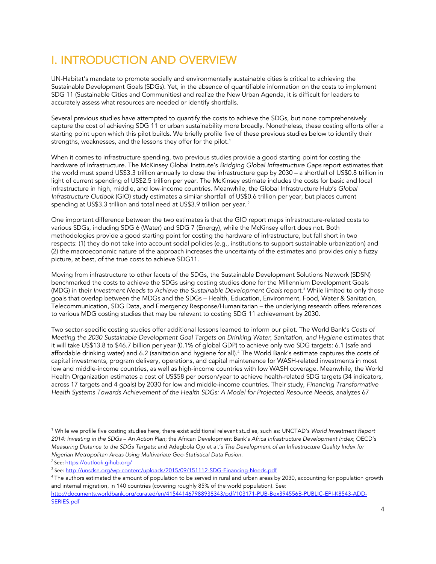### I. INTRODUCTION AND OVERVIEW

UN-Habitat's mandate to promote socially and environmentally sustainable cities is critical to achieving the Sustainable Development Goals (SDGs). Yet, in the absence of quantifiable information on the costs to implement SDG 11 (Sustainable Cities and Communities) and realize the New Urban Agenda, it is difficult for leaders to accurately assess what resources are needed or identify shortfalls.

Several previous studies have attempted to quantify the costs to achieve the SDGs, but none comprehensively capture the cost of achieving SDG 11 or urban sustainability more broadly. Nonetheless, these costing efforts offer a starting point upon which this pilot builds. We briefly profile five of these previous studies below to identify their strengths, weaknesses, and the lessons they offer for the pilot.<sup>1</sup>

When it comes to infrastructure spending, two previous studies provide a good starting point for costing the hardware of infrastructure. The McKinsey Global Institute's *Bridging Global Infrastructure Gaps* report estimates that the world must spend US\$3.3 trillion annually to close the infrastructure gap by 2030 – a shortfall of US\$0.8 trillion in light of current spending of US\$2.5 trillion per year. The McKinsey estimate includes the costs for basic and local infrastructure in high, middle, and low-income countries. Meanwhile, the Global Infrastructure Hub's *Global Infrastructure Outlook* (GIO) study estimates a similar shortfall of US\$0.6 trillion per year, but places current spending at US\$3.3 trillion and total need at US\$3.9 trillion per year.<sup>2</sup>

One important difference between the two estimates is that the GIO report maps infrastructure-related costs to various SDGs, including SDG 6 (Water) and SDG 7 (Energy), while the McKinsey effort does not. Both methodologies provide a good starting point for costing the hardware of infrastructure, but fall short in two respects: (1) they do not take into account social policies (e.g., institutions to support sustainable urbanization) and (2) the macroeconomic nature of the approach increases the uncertainty of the estimates and provides only a fuzzy picture, at best, of the true costs to achieve SDG11.

Moving from infrastructure to other facets of the SDGs, the Sustainable Development Solutions Network (SDSN) benchmarked the costs to achieve the SDGs using costing studies done for the Millennium Development Goals (MDG) in their *Investment Needs to Achieve the Sustainable Development Goals report.<sup>3</sup> While limited to only those* goals that overlap between the MDGs and the SDGs – Health, Education, Environment, Food, Water & Sanitation, Telecommunication, SDG Data, and Emergency Response/Humanitarian – the underlying research offers references to various MDG costing studies that may be relevant to costing SDG 11 achievement by 2030.

Two sector-specific costing studies offer additional lessons learned to inform our pilot. The World Bank's *Costs of Meeting the 2030 Sustainable Development Goal Targets on Drinking Water, Sanitation, and Hygiene* estimates that it will take US\$13.8 to \$46.7 billion per year (0.1% of global GDP) to achieve only two SDG targets: 6.1 (safe and affordable drinking water) and 6.2 (sanitation and hygiene for all).4 The World Bank's estimate captures the costs of capital investments, program delivery, operations, and capital maintenance for WASH-related investments in most low and middle-income countries, as well as high-income countries with low WASH coverage. Meanwhile, the World Health Organization estimates a cost of US\$58 per person/year to achieve health-related SDG targets (34 indicators, across 17 targets and 4 goals) by 2030 for low and middle-income countries. Their study, *Financing Transformative Health Systems Towards Achievement of the Health SDGs: A Model for Projected Resource Needs,* analyzes 67

<sup>1</sup> While we profile five costing studies here, there exist additional relevant studies, such as: UNCTAD's *World Investment Report 2014: Investing in the SDGs – An Action Plan*; the African Development Bank's *Africa Infrastructure Development Index*; OECD's *Measuring Distance to the SDGs Targets*; and Adegbola Ojo et al.'s *The Development of an Infrastructure Quality Index for Nigerian Metropolitan Areas Using Multivariate Geo-Statistical Data Fusion*.

<sup>2</sup> See: https://outlook.gihub.org/

<sup>3</sup> See: http://unsdsn.org/wp-content/uploads/2015/09/151112-SDG-Financing-Needs.pdf

<sup>&</sup>lt;sup>4</sup> The authors estimated the amount of population to be served in rural and urban areas by 2030, accounting for population growth and internal migration, in 140 countries (covering roughly 85% of the world population). See:

http://documents.worldbank.org/curated/en/415441467988938343/pdf/103171-PUB-Box394556B-PUBLIC-EPI-K8543-ADD-SERIES.pdf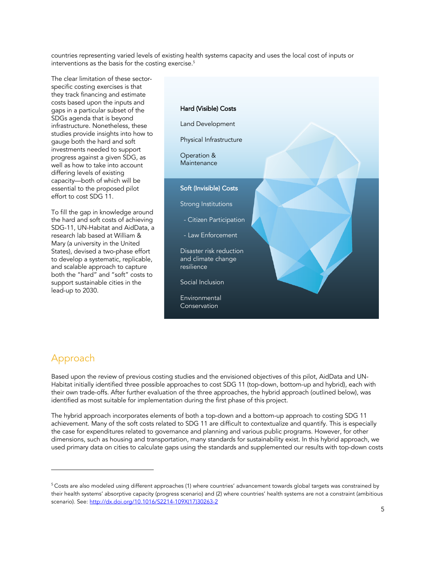countries representing varied levels of existing health systems capacity and uses the local cost of inputs or interventions as the basis for the costing exercise.<sup>5</sup>

The clear limitation of these sectorspecific costing exercises is that they track financing and estimate costs based upon the inputs and gaps in a particular subset of the SDGs agenda that is beyond infrastructure. Nonetheless, these studies provide insights into how to gauge both the hard and soft investments needed to support progress against a given SDG, as well as how to take into account differing levels of existing capacity—both of which will be essential to the proposed pilot effort to cost SDG 11.

To fill the gap in knowledge around the hard and soft costs of achieving SDG-11, UN-Habitat and AidData, a research lab based at William & Mary (a university in the United States), devised a two-phase effort to develop a systematic, replicable, and scalable approach to capture both the "hard" and "soft" costs to support sustainable cities in the lead-up to 2030.

#### Hard (Visible) Costs

Land Development

Physical Infrastructure

Operation & Maintenance

#### Soft (Invisible) Costs

Strong Institutions

- Citizen Participation

- Law Enforcement

Disaster risk reduction and climate change resilience

Social Inclusion

Environmental Conservation

#### Approach

Based upon the review of previous costing studies and the envisioned objectives of this pilot, AidData and UN-Habitat initially identified three possible approaches to cost SDG 11 (top-down, bottom-up and hybrid), each with their own trade-offs. After further evaluation of the three approaches, the hybrid approach (outlined below), was identified as most suitable for implementation during the first phase of this project.

The hybrid approach incorporates elements of both a top-down and a bottom-up approach to costing SDG 11 achievement. Many of the soft costs related to SDG 11 are difficult to contextualize and quantify. This is especially the case for expenditures related to governance and planning and various public programs. However, for other dimensions, such as housing and transportation, many standards for sustainability exist. In this hybrid approach, we used primary data on cities to calculate gaps using the standards and supplemented our results with top-down costs

<sup>5</sup> Costs are also modeled using different approaches (1) where countries' advancement towards global targets was constrained by their health systems' absorptive capacity (progress scenario) and (2) where countries' health systems are not a constraint (ambitious scenario). See: http://dx.doi.org/10.1016/S2214-109X(17)30263-2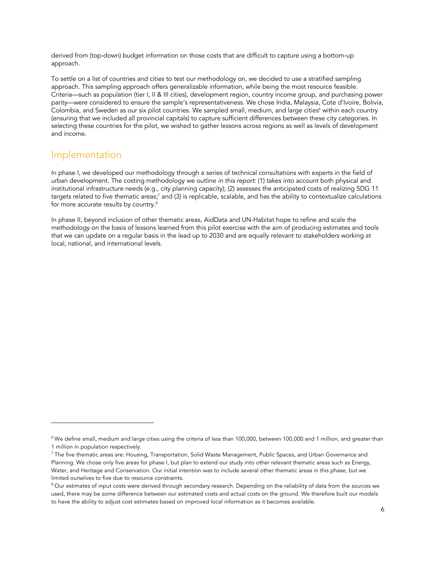derived from (top-down) budget information on those costs that are difficult to capture using a bottom-up approach.

To settle on a list of countries and cities to test our methodology on, we decided to use a stratified sampling approach. This sampling approach offers generalizable information, while being the most resource feasible. Criteria—such as population (tier I, II & III cities), development region, country income group, and purchasing power parity—were considered to ensure the sample's representativeness. We chose India, Malaysia, Cote d'Ivoire, Bolivia, Colombia, and Sweden as our six pilot countries. We sampled small, medium, and large cities<sup>6</sup> within each country (ensuring that we included all provincial capitals) to capture sufficient differences between these city categories. In selecting these countries for the pilot, we wished to gather lessons across regions as well as levels of development and income.

#### Implementation

In phase I, we developed our methodology through a series of technical consultations with experts in the field of urban development. The costing methodology we outline *in this report*: (1) takes into account both physical and institutional infrastructure needs (e.g., city planning capacity); (2) assesses the anticipated costs of realizing SDG 11 targets related to five thematic areas;<sup>7</sup> and (3) is replicable, scalable, and has the ability to contextualize calculations for more accurate results by country. 8

In phase II, beyond inclusion of other thematic areas, AidData and UN-Habitat hope to refine and scale the methodology on the basis of lessons learned from this pilot exercise with the aim of producing estimates and tools that we can update on a regular basis in the lead up to 2030 and are equally relevant to stakeholders working at local, national, and international levels.

<sup>6</sup> We define small, medium and large cities using the criteria of less than 100,000, between 100,000 and 1 million, and greater than 1 million in population respectively.

<sup>&</sup>lt;sup>7</sup> The five thematic areas are: Housing, Transportation, Solid Waste Management, Public Spaces, and Urban Governance and Planning. We chose only five areas for phase I, but plan to extend our study into other relevant thematic areas such as Energy, Water, and Heritage and Conservation. Our initial intention was to include several other thematic areas in this phase, but we limited ourselves to five due to resource constraints.

<sup>&</sup>lt;sup>8</sup> Our estimates of input costs were derived through secondary research. Depending on the reliability of data from the sources we used, there may be some difference between our estimated costs and actual costs on the ground. We therefore built our models to have the ability to adjust cost estimates based on improved local information as it becomes available.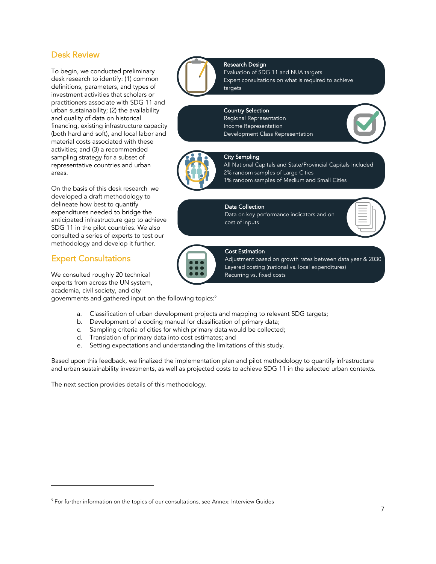#### Desk Review

To begin, we conducted preliminary desk research to identify: (1) common definitions, parameters, and types of investment activities that scholars or practitioners associate with SDG 11 and urban sustainability; (2) the availability and quality of data on historical financing, existing infrastructure capacity (both hard and soft), and local labor and material costs associated with these activities; and (3) a recommended sampling strategy for a subset of representative countries and urban areas.

On the basis of this desk research we developed a draft methodology to delineate how best to quantify expenditures needed to bridge the anticipated infrastructure gap to achieve SDG 11 in the pilot countries. We also consulted a series of experts to test our methodology and develop it further.

#### Expert Consultations

We consulted roughly 20 technical experts from across the UN system, academia, civil society, and city

governments and gathered input on the following topics: $^{\circ}$ 

- a. Classification of urban development projects and mapping to relevant SDG targets;
- b. Development of a coding manual for classification of primary data;
- c. Sampling criteria of cities for which primary data would be collected;
- d. Translation of primary data into cost estimates; and
- e. Setting expectations and understanding the limitations of this study.

Based upon this feedback, we finalized the implementation plan and pilot methodology to quantify infrastructure and urban sustainability investments, as well as projected costs to achieve SDG 11 in the selected urban contexts.

The next section provides details of this methodology.



#### Expert consultations on what is required to achieve targets

#### Country Selection

Research Design

Regional Representation Income Representation Development Class Representation



### City Sampling

All National Capitals and State/Provincial Capitals Included 2% random samples of Large Cities 1% random samples of Medium and Small Cities

#### Data Collection

Data on key performance indicators and on cost of inputs



#### Cost Estimation

Adjustment based on growth rates between data year & 2030 Layered costing (national vs. local expenditures) Recurring vs. fixed costs

<sup>&</sup>lt;sup>9</sup> For further information on the topics of our consultations, see Annex: Interview Guides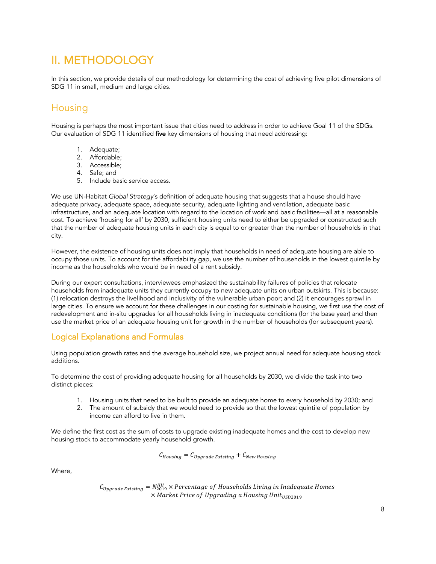### II. METHODOLOGY

In this section, we provide details of our methodology for determining the cost of achieving five pilot dimensions of SDG 11 in small, medium and large cities.

#### Housing

Housing is perhaps the most important issue that cities need to address in order to achieve Goal 11 of the SDGs. Our evaluation of SDG 11 identified five key dimensions of housing that need addressing:

- 1. Adequate;
- 2. Affordable;
- 3. Accessible;
- 4. Safe; and
- 5. Include basic service access.

We use UN-Habitat *Global Strategy*'s definition of adequate housing that suggests that a house should have adequate privacy, adequate space, adequate security, adequate lighting and ventilation, adequate basic infrastructure, and an adequate location with regard to the location of work and basic facilities—all at a reasonable cost. To achieve 'housing for all' by 2030, sufficient housing units need to either be upgraded or constructed such that the number of adequate housing units in each city is equal to or greater than the number of households in that city.

However, the existence of housing units does not imply that households in need of adequate housing are able to occupy those units. To account for the affordability gap, we use the number of households in the lowest quintile by income as the households who would be in need of a rent subsidy.

During our expert consultations, interviewees emphasized the sustainability failures of policies that relocate households from inadequate units they currently occupy to new adequate units on urban outskirts. This is because: (1) relocation destroys the livelihood and inclusivity of the vulnerable urban poor; and (2) it encourages sprawl in large cities. To ensure we account for these challenges in our costing for sustainable housing, we first use the cost of redevelopment and in-situ upgrades for all households living in inadequate conditions (for the base year) and then use the market price of an adequate housing unit for growth in the number of households (for subsequent years).

#### Logical Explanations and Formulas

Using population growth rates and the average household size, we project annual need for adequate housing stock additions.

To determine the cost of providing adequate housing for all households by 2030, we divide the task into two distinct pieces:

- 1. Housing units that need to be built to provide an adequate home to every household by 2030; and
- 2. The amount of subsidy that we would need to provide so that the lowest quintile of population by income can afford to live in them.

We define the first cost as the sum of costs to upgrade existing inadequate homes and the cost to develop new housing stock to accommodate yearly household growth.

 $C_{Housing} = C_{Upgrade$  Existing +  $C_{New}$  Housing

Where,

 $C_{\text{Upgrade Existing}} = N_{2019}^{\text{HH}} \times \text{Percentage of Households Living in Inddequate Homes}$  $\times$  Market Price of Upgrading a Housing Unit $_{115D2019}$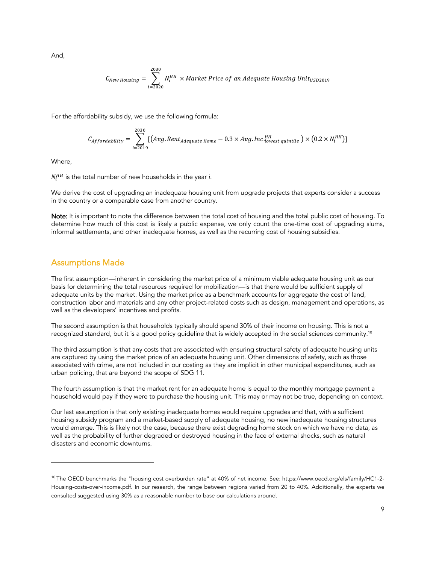And,

$$
C_{New\,Housing} = \sum_{i=2020}^{2030} N_i^{HH} \times Market\,Price\ of\ an\ Adequate\ Housing\ Unit_{USD2019}
$$

For the affordability subsidy, we use the following formula:

$$
C_{Affordability} = \sum_{i=2019}^{2030} [(Avg. Rent_{adequate Home} - 0.3 \times Avg. Inc.]_{lowest\ quintile}^{HH}) \times (0.2 \times N_i^{HH})]
$$

Where,

 $N^{HH}_{i}$  is the total number of new households in the year *i.* 

We derive the cost of upgrading an inadequate housing unit from upgrade projects that experts consider a success in the country or a comparable case from another country.

Note: It is important to note the difference between the total cost of housing and the total public cost of housing. To determine how much of this cost is likely a public expense, we only count the one-time cost of upgrading slums, informal settlements, and other inadequate homes, as well as the recurring cost of housing subsidies.

#### Assumptions Made

The first assumption—inherent in considering the market price of a minimum viable adequate housing unit as our basis for determining the total resources required for mobilization—is that there would be sufficient supply of adequate units by the market. Using the market price as a benchmark accounts for aggregate the cost of land, construction labor and materials and any other project-related costs such as design, management and operations, as well as the developers' incentives and profits.

The second assumption is that households typically should spend 30% of their income on housing. This is not a recognized standard, but it is a good policy guideline that is widely accepted in the social sciences community. 10

The third assumption is that any costs that are associated with ensuring structural safety of adequate housing units are captured by using the market price of an adequate housing unit. Other dimensions of safety, such as those associated with crime, are not included in our costing as they are implicit in other municipal expenditures, such as urban policing, that are beyond the scope of SDG 11.

The fourth assumption is that the market rent for an adequate home is equal to the monthly mortgage payment a household would pay if they were to purchase the housing unit. This may or may not be true, depending on context.

Our last assumption is that only existing inadequate homes would require upgrades and that, with a sufficient housing subsidy program and a market-based supply of adequate housing, no new inadequate housing structures would emerge. This is likely not the case, because there exist degrading home stock on which we have no data, as well as the probability of further degraded or destroyed housing in the face of external shocks, such as natural disasters and economic downturns.

<sup>10</sup> The OECD benchmarks the "housing cost overburden rate" at 40% of net income. See: https://www.oecd.org/els/family/HC1-2- Housing-costs-over-income.pdf. In our research, the range between regions varied from 20 to 40%. Additionally, the experts we consulted suggested using 30% as a reasonable number to base our calculations around.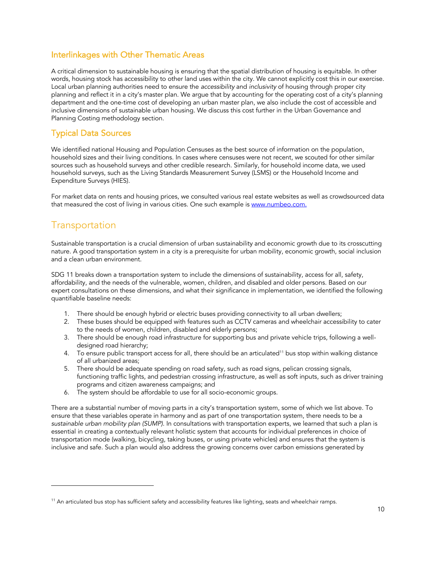#### Interlinkages with Other Thematic Areas

A critical dimension to sustainable housing is ensuring that the spatial distribution of housing is equitable. In other words, housing stock has accessibility to other land uses within the city. We cannot explicitly cost this in our exercise. Local urban planning authorities need to ensure the *accessibility* and *inclusivity* of housing through proper city planning and reflect it in a city's master plan. We argue that by accounting for the operating cost of a city's planning department and the one-time cost of developing an urban master plan, we also include the cost of accessible and inclusive dimensions of sustainable urban housing. We discuss this cost further in the Urban Governance and Planning Costing methodology section.

#### Typical Data Sources

We identified national Housing and Population Censuses as the best source of information on the population, household sizes and their living conditions. In cases where censuses were not recent, we scouted for other similar sources such as household surveys and other credible research. Similarly, for household income data, we used household surveys, such as the Living Standards Measurement Survey (LSMS) or the Household Income and Expenditure Surveys (HIES).

For market data on rents and housing prices, we consulted various real estate websites as well as crowdsourced data that measured the cost of living in various cities. One such example is www.numbeo.com.

#### Transportation

Sustainable transportation is a crucial dimension of urban sustainability and economic growth due to its crosscutting nature. A good transportation system in a city is a prerequisite for urban mobility, economic growth, social inclusion and a clean urban environment.

SDG 11 breaks down a transportation system to include the dimensions of sustainability, access for all, safety, affordability, and the needs of the vulnerable, women, children, and disabled and older persons. Based on our expert consultations on these dimensions, and what their significance in implementation, we identified the following quantifiable baseline needs:

- 1. There should be enough hybrid or electric buses providing connectivity to all urban dwellers;
- 2. These buses should be equipped with features such as CCTV cameras and wheelchair accessibility to cater to the needs of women, children, disabled and elderly persons;
- 3. There should be enough road infrastructure for supporting bus and private vehicle trips, following a welldesigned road hierarchy;
- 4. To ensure public transport access for all, there should be an articulated<sup>11</sup> bus stop within walking distance of all urbanized areas;
- 5. There should be adequate spending on road safety, such as road signs, pelican crossing signals, functioning traffic lights, and pedestrian crossing infrastructure, as well as soft inputs, such as driver training programs and citizen awareness campaigns; and
- 6. The system should be affordable to use for all socio-economic groups.

There are a substantial number of moving parts in a city's transportation system, some of which we list above. To ensure that these variables operate in harmony and as part of one transportation system, there needs to be a *sustainable urban mobility plan (SUMP)*. In consultations with transportation experts, we learned that such a plan is essential in creating a contextually relevant holistic system that accounts for individual preferences in choice of transportation mode (walking, bicycling, taking buses, or using private vehicles) and ensures that the system is inclusive and safe. Such a plan would also address the growing concerns over carbon emissions generated by

 $11$  An articulated bus stop has sufficient safety and accessibility features like lighting, seats and wheelchair ramps.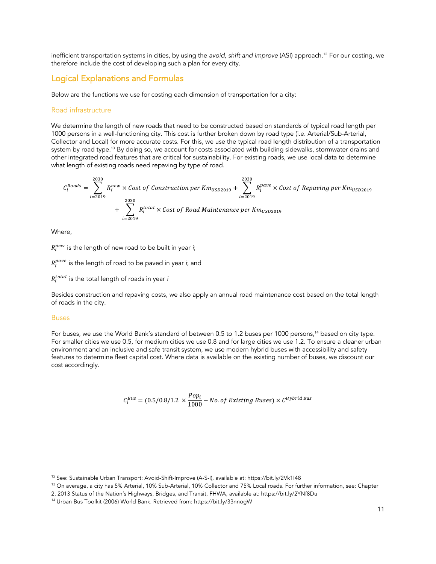inefficient transportation systems in cities, by using the *avoid, shift and improve* (ASI) approach. <sup>12</sup> For our costing, we therefore include the cost of developing such a plan for every city.

#### Logical Explanations and Formulas

Below are the functions we use for costing each dimension of transportation for a city:

#### Road infrastructure

We determine the length of new roads that need to be constructed based on standards of typical road length per 1000 persons in a well-functioning city. This cost is further broken down by road type (i.e. Arterial/Sub-Arterial, Collector and Local) for more accurate costs. For this, we use the typical road length distribution of a transportation system by road type.<sup>13</sup> By doing so, we account for costs associated with building sidewalks, stormwater drains and other integrated road features that are critical for sustainability. For existing roads, we use local data to determine what length of existing roads need repaving by type of road.

$$
C_i^{Roads} = \sum_{i=2019}^{2030} R_i^{new} \times Cost \ of \ Construction \ per \ Km_{USD2019} + \sum_{i=2019}^{2030} R_i^{pave} \times Cost \ of \ Repaving \ per \ Km_{USD2019}
$$

$$
+ \sum_{i=2019}^{2030} R_i^{total} \times Cost \ of \ Road \ Maintenance \ per \ Km_{USD2019}
$$

Where,

 $R_i^{new}$  is the length of new road to be built in year *i*;

 $R_i^{pave}$  is the length of road to be paved in year *i*; and

 $R_i^{total}$  is the total length of roads in year *i* 

Besides construction and repaving costs, we also apply an annual road maintenance cost based on the total length of roads in the city.

#### Buses

For buses, we use the World Bank's standard of between 0.5 to 1.2 buses per 1000 persons, <sup>14</sup> based on city type. For smaller cities we use 0.5, for medium cities we use 0.8 and for large cities we use 1.2. To ensure a cleaner urban environment and an inclusive and safe transit system, we use modern hybrid buses with accessibility and safety features to determine fleet capital cost. Where data is available on the existing number of buses, we discount our cost accordingly.

$$
C_i^{Bus} = (0.5/0.8/1.2 \times \frac{Pop_i}{1000} - No. of Existing Buses) \times C^{Hybrid Bus}
$$

<sup>12</sup> See: Sustainable Urban Transport: Avoid-Shift-Improve (A-S-I), available at: https://bit.ly/2Vk1I48

<sup>&</sup>lt;sup>13</sup> On average, a city has 5% Arterial, 10% Sub-Arterial, 10% Collector and 75% Local roads. For further information, see: Chapter

<sup>2, 2013</sup> Status of the Nation's Highways, Bridges, and Transit, FHWA, available at: https://bit.ly/2YNf8Du

<sup>14</sup> Urban Bus Toolkit (2006) World Bank. Retrieved from: https://bit.ly/33nnogW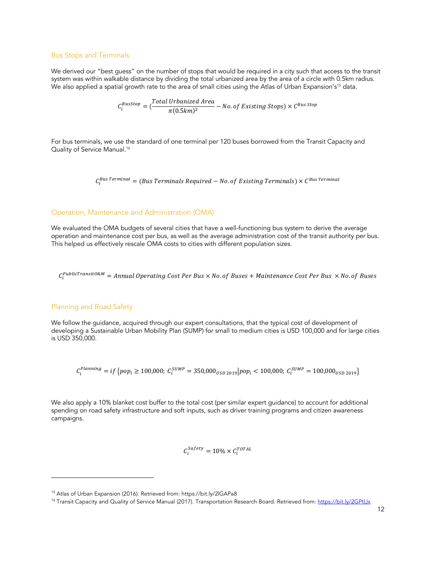#### Bus Stops and Terminals

We derived our "best guess" on the number of stops that would be required in a city such that access to the transit system was within walkable distance by dividing the total urbanized area by the area of a circle with 0.5km radius. We also applied a spatial growth rate to the area of small cities using the Atlas of Urban Expansion's<sup>15</sup> data.

 $\mathcal{C}_i^{BusStop} = (\frac{Total \; Urbanized \; Area}{\pi (0.5 km)^2} - No. \, of \; Existing \; Stops) \times \mathcal{C}^{Bus \; Stop}$ 

For bus terminals, we use the standard of one terminal per 120 buses borrowed from the Transit Capacity and Quality of Service Manual. 16

 $\mathcal{C}^{Bus \: Terminal}_{i} = (Bus \: Terminal \: Required - No. \: of \: Existing \: Terminals) \times \mathcal{C}^{Bus \: Terminal}$ 

#### Operation, Maintenance and Administration (OMA)

We evaluated the OMA budgets of several cities that have a well-functioning bus system to derive the average operation and maintenance cost per bus, as well as the average administration cost of the transit authority per bus. This helped us effectively rescale OMA costs to cities with different population sizes.

 $\mathcal{C}^{Public Transit0\&M}_t = Annual \: Operating \: Cost \: Per \: Bus \times No. \: of \: Buses + Maintenance \: Cost \: Per \: Bus \times No. \: of \: Buses$ 

#### Planning and Road Safety

We follow the guidance, acquired through our expert consultations, that the typical cost of development of developing a Sustainable Urban Mobility Plan (SUMP) for small to medium cities is USD 100,000 and for large cities is USD 350,000.

 $C_i^{Planning}=if\left\{ pop_i\geq 100,000;\ C_i^{SUMP}=350,000_{USD\;2019}\right\} pop_i<100,000;\ C_i^{SUMP}=100,000_{USD\;2019}\right\}$ 

We also apply a 10% blanket cost buffer to the total cost (per similar expert guidance) to account for additional spending on road safety infrastructure and soft inputs, such as driver training programs and citizen awareness campaigns.

$$
C_i^{Safety} = 10\% \times C_i^{TOTAL}
$$

<sup>&</sup>lt;sup>15</sup> Atlas of Urban Expansion (2016). Retrieved from: https://bit.ly/2lGAPa8

<sup>&</sup>lt;sup>16</sup> Transit Capacity and Quality of Service Manual (2017). Transportation Research Board. Retrieved from: https://bit.ly/2GPtlJx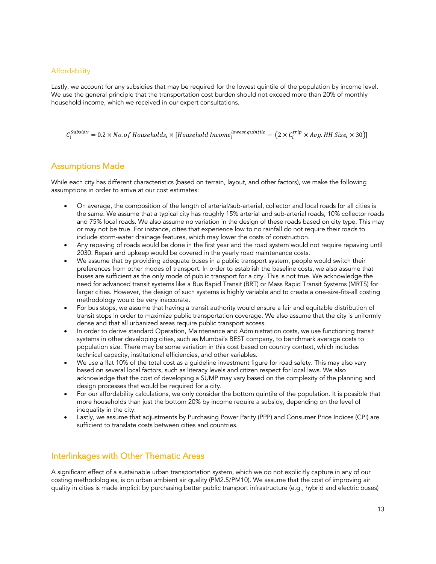#### Affordability

Lastly, we account for any subsidies that may be required for the lowest quintile of the population by income level. We use the general principle that the transportation cost burden should not exceed more than 20% of monthly household income, which we received in our expert consultations.

 $C_i^{Subsidy} = 0.2 \times No.$  of Households<sub>i</sub>  $\times$  [Household Income $_i^{lowest\ quintile} - (2 \times C_i^{trip} \times Avg.HH\ Size_i \times 30)]$ 

#### Assumptions Made

While each city has different characteristics (based on terrain, layout, and other factors), we make the following assumptions in order to arrive at our cost estimates:

- On average, the composition of the length of arterial/sub-arterial, collector and local roads for all cities is the same. We assume that a typical city has roughly 15% arterial and sub-arterial roads, 10% collector roads and 75% local roads. We also assume no variation in the design of these roads based on city type. This may or may not be true. For instance, cities that experience low to no rainfall do not require their roads to include storm-water drainage features, which may lower the costs of construction.
- Any repaving of roads would be done in the first year and the road system would not require repaving until 2030. Repair and upkeep would be covered in the yearly road maintenance costs.
- We assume that by providing adequate buses in a public transport system, people would switch their preferences from other modes of transport. In order to establish the baseline costs, we also assume that buses are sufficient as the only mode of public transport for a city. This is not true. We acknowledge the need for advanced transit systems like a Bus Rapid Transit (BRT) or Mass Rapid Transit Systems (MRTS) for larger cities. However, the design of such systems is highly variable and to create a one-size-fits-all costing methodology would be very inaccurate.
- For bus stops, we assume that having a transit authority would ensure a fair and equitable distribution of transit stops in order to maximize public transportation coverage. We also assume that the city is uniformly dense and that all urbanized areas require public transport access.
- In order to derive standard Operation, Maintenance and Administration costs, we use functioning transit systems in other developing cities, such as Mumbai's BEST company, to benchmark average costs to population size. There may be some variation in this cost based on country context, which includes technical capacity, institutional efficiencies, and other variables.
- We use a flat 10% of the total cost as a guideline investment figure for road safety. This may also vary based on several local factors, such as literacy levels and citizen respect for local laws. We also acknowledge that the cost of developing a SUMP may vary based on the complexity of the planning and design processes that would be required for a city.
- For our affordability calculations, we only consider the bottom quintile of the population. It is possible that more households than just the bottom 20% by income require a subsidy, depending on the level of inequality in the city.
- Lastly, we assume that adjustments by Purchasing Power Parity (PPP) and Consumer Price Indices (CPI) are sufficient to translate costs between cities and countries.

#### Interlinkages with Other Thematic Areas

A significant effect of a sustainable urban transportation system, which we do not explicitly capture in any of our costing methodologies, is on urban ambient air quality (PM2.5/PM10). We assume that the cost of improving air quality in cities is made implicit by purchasing better public transport infrastructure (e.g., hybrid and electric buses)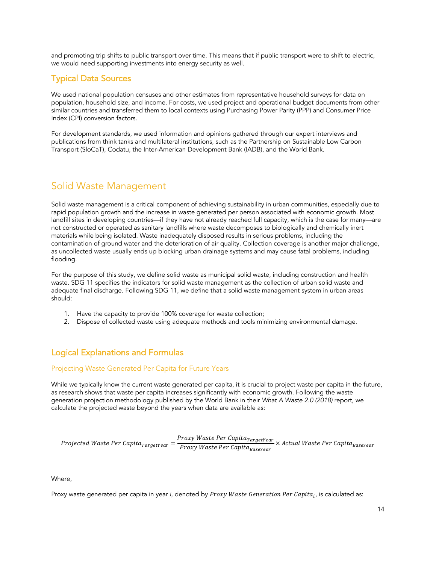and promoting trip shifts to public transport over time. This means that if public transport were to shift to electric, we would need supporting investments into energy security as well.

#### Typical Data Sources

We used national population censuses and other estimates from representative household surveys for data on population, household size, and income. For costs, we used project and operational budget documents from other similar countries and transferred them to local contexts using Purchasing Power Parity (PPP) and Consumer Price Index (CPI) conversion factors.

For development standards, we used information and opinions gathered through our expert interviews and publications from think tanks and multilateral institutions, such as the Partnership on Sustainable Low Carbon Transport (SloCaT), Codatu, the Inter-American Development Bank (IADB), and the World Bank.

#### Solid Waste Management

Solid waste management is a critical component of achieving sustainability in urban communities, especially due to rapid population growth and the increase in waste generated per person associated with economic growth. Most landfill sites in developing countries—if they have not already reached full capacity, which is the case for many—are not constructed or operated as sanitary landfills where waste decomposes to biologically and chemically inert materials while being isolated. Waste inadequately disposed results in serious problems, including the contamination of ground water and the deterioration of air quality. Collection coverage is another major challenge, as uncollected waste usually ends up blocking urban drainage systems and may cause fatal problems, including flooding.

For the purpose of this study, we define solid waste as municipal solid waste, including construction and health waste. SDG 11 specifies the indicators for solid waste management as the collection of urban solid waste and adequate final discharge. Following SDG 11, we define that a solid waste management system in urban areas should:

- 1. Have the capacity to provide 100% coverage for waste collection;
- 2. Dispose of collected waste using adequate methods and tools minimizing environmental damage.

#### Logical Explanations and Formulas

#### Projecting Waste Generated Per Capita for Future Years

While we typically know the current waste generated per capita, it is crucial to project waste per capita in the future, as research shows that waste per capita increases significantly with economic growth. Following the waste generation projection methodology published by the World Bank in their *What A Waste 2.0 (2018)* report, we calculate the projected waste beyond the years when data are available as:

Ä-,(/3í/-, <sup>=</sup> Ä-,(/3í/-, q-%/í/-, × q-%/í/-,

Where,

Proxy waste generated per capita in year *i*, denoted by *Proxy Waste Generation Per Capita<sub>i</sub>*, is calculated as: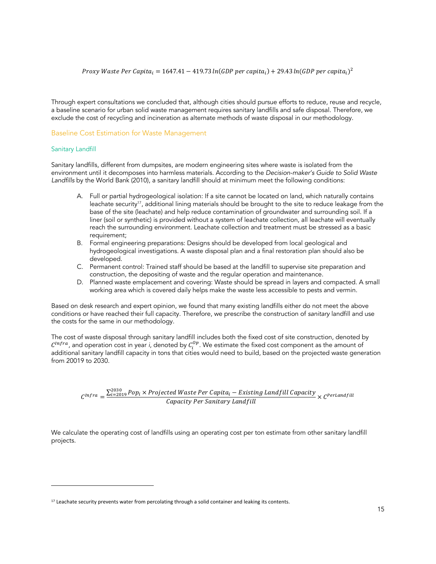Through expert consultations we concluded that, although cities should pursue efforts to reduce, reuse and recycle*,*  a baseline scenario for urban solid waste management requires sanitary landfills and safe disposal. Therefore, we exclude the cost of recycling and incineration as alternate methods of waste disposal in our methodology.

#### Baseline Cost Estimation for Waste Management

#### Sanitary Landfill

Sanitary landfills, different from dumpsites, are modern engineering sites where waste is isolated from the environment until it decomposes into harmless materials. According to the *Decision-maker's Guide to Solid Waste Landfills* by the World Bank (2010), a sanitary landfill should at minimum meet the following conditions:

- A. Full or partial hydrogeological isolation: If a site cannot be located on land, which naturally contains leachate security<sup>17</sup>, additional lining materials should be brought to the site to reduce leakage from the base of the site (leachate) and help reduce contamination of groundwater and surrounding soil. If a liner (soil or synthetic) is provided without a system of leachate collection, all leachate will eventually reach the surrounding environment. Leachate collection and treatment must be stressed as a basic requirement;
- B. Formal engineering preparations: Designs should be developed from local geological and hydrogeological investigations. A waste disposal plan and a final restoration plan should also be developed.
- C. Permanent control: Trained staff should be based at the landfill to supervise site preparation and construction, the depositing of waste and the regular operation and maintenance.
- D. Planned waste emplacement and covering: Waste should be spread in layers and compacted. A small working area which is covered daily helps make the waste less accessible to pests and vermin.

Based on desk research and expert opinion, we found that many existing landfills either do not meet the above conditions or have reached their full capacity. Therefore, we prescribe the construction of *sanitary* landfill and use the costs for the same in our methodology.

The cost of waste disposal through sanitary landfill includes both the fixed cost of site construction, denoted by  $C^{Infra}$ , and operation cost in year *i*, denoted by  $C_i^{op}$ . We estimate the fixed cost component as the amount of additional sanitary landfill capacity in tons that cities would need to build, based on the projected waste generation from 20019 to 2030.

 $C^{lnfra} = \frac{\sum_{i=2019}^{2030} Pop_i \times Projected \textit{Waste Per Capita}_i - Existing \textit{Landfill Capacity}}{Capacity \textit{Per Sanitary Landfill}} \times C^{PerLandfill}$ 

We calculate the operating cost of landfills using an operating cost per ton estimate from other sanitary landfill projects.

<sup>&</sup>lt;sup>17</sup> Leachate security prevents water from percolating through a solid container and leaking its contents.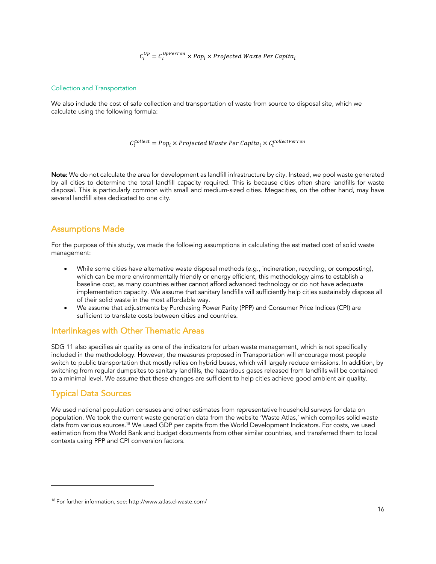$\mathcal{C}^{op}_i = \mathcal{C}^{opPerron}_i \times Pop_i \times Projected \textit{Waste Per Capita}_i$ 

#### Collection and Transportation

We also include the cost of safe collection and transportation of waste from source to disposal site, which we calculate using the following formula:

 $C_i^{Collect} = Pop_i \times Projected \textit{Waste Per Capita}_i \times C_i^{Collect\textit{Porton}}$ 

Note: We do not calculate the area for development as landfill infrastructure by city. Instead, we pool waste generated by all cities to determine the total landfill capacity required. This is because cities often share landfills for waste disposal. This is particularly common with small and medium-sized cities. Megacities, on the other hand, may have several landfill sites dedicated to one city.

#### Assumptions Made

For the purpose of this study, we made the following assumptions in calculating the estimated cost of solid waste management:

- While some cities have alternative waste disposal methods (e.g., incineration, recycling, or composting), which can be more environmentally friendly or energy efficient, this methodology aims to establish a baseline cost, as many countries either cannot afford advanced technology or do not have adequate implementation capacity. We assume that sanitary landfills will sufficiently help cities sustainably dispose all of their solid waste in the most affordable way.
- We assume that adjustments by Purchasing Power Parity (PPP) and Consumer Price Indices (CPI) are sufficient to translate costs between cities and countries.

#### Interlinkages with Other Thematic Areas

SDG 11 also specifies air quality as one of the indicators for urban waste management, which is not specifically included in the methodology. However, the measures proposed in Transportation will encourage most people switch to public transportation that mostly relies on hybrid buses, which will largely reduce emissions. In addition, by switching from regular dumpsites to sanitary landfills, the hazardous gases released from landfills will be contained to a minimal level. We assume that these changes are sufficient to help cities achieve good ambient air quality.

#### Typical Data Sources

We used national population censuses and other estimates from representative household surveys for data on population. We took the current waste generation data from the website 'Waste Atlas,' which compiles solid waste data from various sources. <sup>18</sup> We used GDP per capita from the World Development Indicators. For costs, we used estimation from the World Bank and budget documents from other similar countries, and transferred them to local contexts using PPP and CPI conversion factors.

<sup>18</sup> For further information, see: http://www.atlas.d-waste.com/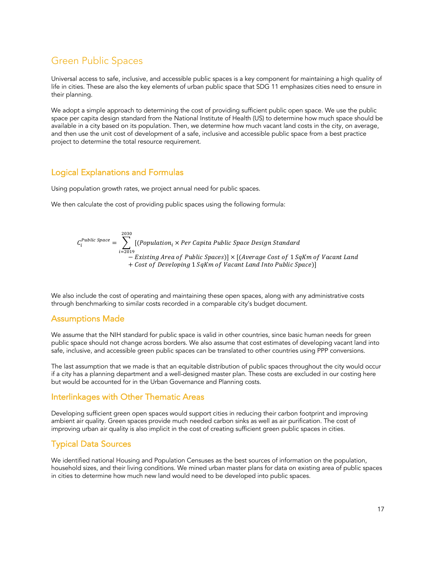#### Green Public Spaces

Universal access to safe, inclusive, and accessible public spaces is a key component for maintaining a high quality of life in cities. These are also the key elements of urban public space that SDG 11 emphasizes cities need to ensure in their planning.

We adopt a simple approach to determining the cost of providing sufficient public open space. We use the public space per capita design standard from the National Institute of Health (US) to determine how much space should be available in a city based on its population. Then, we determine how much vacant land costs in the city, on average, and then use the unit cost of development of a safe, inclusive and accessible public space from a best practice project to determine the total resource requirement.

#### Logical Explanations and Formulas

Using population growth rates, we project annual need for public spaces.

We then calculate the cost of providing public spaces using the following formula:

$$
C_i^{Public Space} = \sum_{i=2019}^{2030} [(Population_i \times Per Capita Public Space Design Standard - Existing Area of Public Spaces)] \times [(Average Cost of 1 SqKm of Vacant Land + Cost of Development and Into Public Space)]
$$

We also include the cost of operating and maintaining these open spaces, along with any administrative costs through benchmarking to similar costs recorded in a comparable city's budget document.

#### Assumptions Made

We assume that the NIH standard for public space is valid in other countries, since basic human needs for green public space should not change across borders. We also assume that cost estimates of developing vacant land into safe, inclusive, and accessible green public spaces can be translated to other countries using PPP conversions.

The last assumption that we made is that an equitable distribution of public spaces throughout the city would occur if a city has a planning department and a well-designed master plan. These costs are excluded in our costing here but would be accounted for in the Urban Governance and Planning costs.

#### Interlinkages with Other Thematic Areas

Developing sufficient green open spaces would support cities in reducing their carbon footprint and improving ambient air quality. Green spaces provide much needed carbon sinks as well as air purification. The cost of improving urban air quality is also implicit in the cost of creating sufficient green public spaces in cities.

#### Typical Data Sources

We identified national Housing and Population Censuses as the best sources of information on the population, household sizes, and their living conditions. We mined urban master plans for data on existing area of public spaces in cities to determine how much new land would need to be developed into public spaces.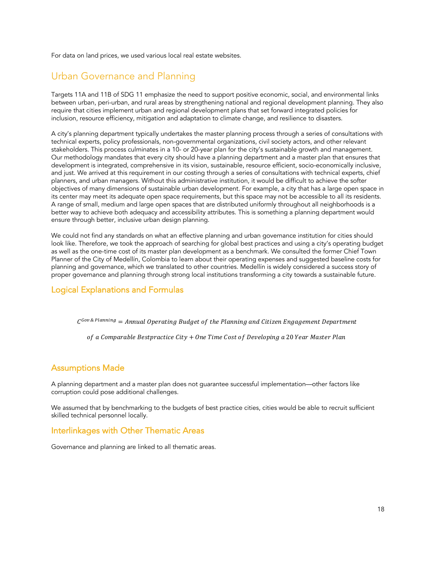For data on land prices, we used various local real estate websites.

#### Urban Governance and Planning

Targets 11A and 11B of SDG 11 emphasize the need to support positive economic, social, and environmental links between urban, peri-urban, and rural areas by strengthening national and regional development planning. They also require that cities implement urban and regional development plans that set forward integrated policies for inclusion, resource efficiency, mitigation and adaptation to climate change, and resilience to disasters.

A city's planning department typically undertakes the master planning process through a series of consultations with technical experts, policy professionals, non-governmental organizations, civil society actors, and other relevant stakeholders. This process culminates in a 10- or 20-year plan for the city's sustainable growth and management. Our methodology mandates that every city should have a planning department and a master plan that ensures that development is integrated, comprehensive in its vision, sustainable, resource efficient, socio-economically inclusive, and just. We arrived at this requirement in our costing through a series of consultations with technical experts, chief planners, and urban managers. Without this administrative institution, it would be difficult to achieve the softer objectives of many dimensions of sustainable urban development. For example, a city that has a large open space in its center may meet its adequate open space requirements, but this space may not be accessible to all its residents. A range of small, medium and large open spaces that are distributed uniformly throughout all neighborhoods is a better way to achieve both adequacy and accessibility attributes. This is something a planning department would ensure through better, inclusive urban design planning.

We could not find any standards on what an effective planning and urban governance institution for cities should look like. Therefore, we took the approach of searching for global best practices and using a city's operating budget as well as the one-time cost of its master plan development as a benchmark. We consulted the former Chief Town Planner of the City of Medellín, Colombia to learn about their operating expenses and suggested baseline costs for planning and governance, which we translated to other countries. Medellín is widely considered a success story of proper governance and planning through strong local institutions transforming a city towards a sustainable future.

#### Logical Explanations and Formulas

 $C^{Gov\&\ Planning} = Annual\ Operating\ Budget\ of\ the\ Planning\ and\ Citizen\ Engagement\ Department$ 

of a Comparable Bestpractice City + One Time Cost of Developing a 20 Year Master Plan

#### Assumptions Made

A planning department and a master plan does not guarantee successful implementation—other factors like corruption could pose additional challenges.

We assumed that by benchmarking to the budgets of best practice cities, cities would be able to recruit sufficient skilled technical personnel locally.

#### Interlinkages with Other Thematic Areas

Governance and planning are linked to all thematic areas.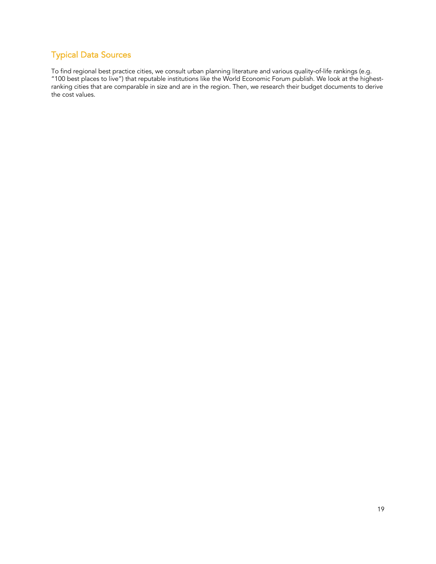#### Typical Data Sources

To find regional best practice cities, we consult urban planning literature and various quality-of-life rankings (e.g. "100 best places to live") that reputable institutions like the World Economic Forum publish. We look at the highestranking cities that are comparable in size and are in the region. Then, we research their budget documents to derive the cost values.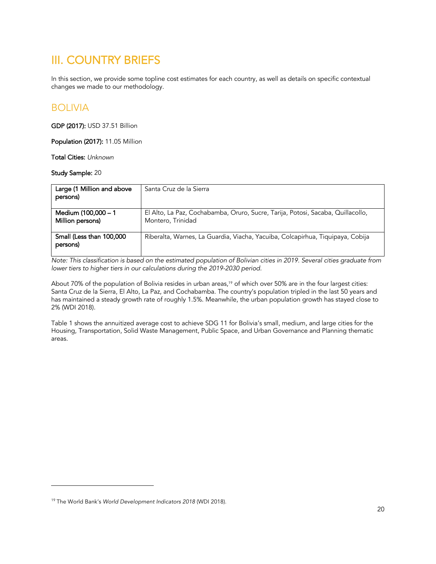### III. COUNTRY BRIEFS

In this section, we provide some topline cost estimates for each country, as well as details on specific contextual changes we made to our methodology.

#### BOLIVIA

GDP (2017): USD 37.51 Billion

Population (2017): 11.05 Million

Total Cities: *Unknown*

Study Sample: 20

| Large (1 Million and above              | Santa Cruz de la Sierra                                                                              |
|-----------------------------------------|------------------------------------------------------------------------------------------------------|
| persons)                                |                                                                                                      |
| Medium (100,000 - 1<br>Million persons) | El Alto, La Paz, Cochabamba, Oruro, Sucre, Tarija, Potosi, Sacaba, Quillacollo,<br>Montero, Trinidad |
| Small (Less than 100,000<br>persons)    | Riberalta, Warnes, La Guardia, Viacha, Yacuiba, Colcapirhua, Tiquipaya, Cobija                       |

*Note: This classification is based on the estimated population of Bolivian cities in 2019. Several cities graduate from lower tiers to higher tiers in our calculations during the 2019-2030 period.* 

About 70% of the population of Bolivia resides in urban areas, <sup>19</sup> of which over 50% are in the four largest cities: Santa Cruz de la Sierra, El Alto, La Paz, and Cochabamba. The country's population tripled in the last 50 years and has maintained a steady growth rate of roughly 1.5%. Meanwhile, the urban population growth has stayed close to 2% (WDI 2018).

Table 1 shows the annuitized average cost to achieve SDG 11 for Bolivia's small, medium, and large cities for the Housing, Transportation, Solid Waste Management, Public Space, and Urban Governance and Planning thematic areas.

<sup>19</sup> The World Bank's *World Development Indicators 2018* (WDI 2018).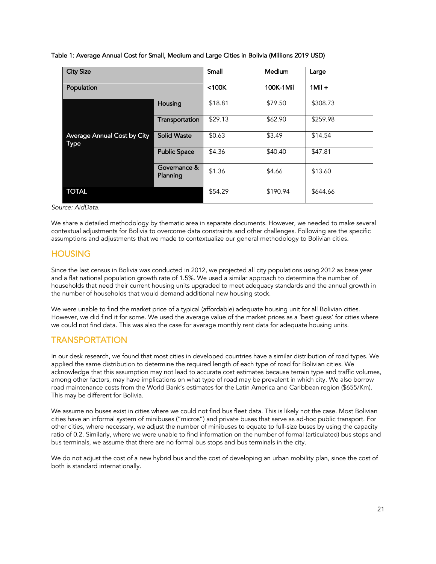|  | Table 1: Average Annual Cost for Small, Medium and Large Cities in Bolivia (Millions 2019 USD) |  |  |  |  |
|--|------------------------------------------------------------------------------------------------|--|--|--|--|
|  |                                                                                                |  |  |  |  |

| <b>City Size</b>                           |                          | Small   | Medium    | Large     |
|--------------------------------------------|--------------------------|---------|-----------|-----------|
| Population                                 |                          | $100K$  | 100K-1Mil | $1$ Mil + |
|                                            | Housing                  | \$18.81 | \$79.50   | \$308.73  |
|                                            | Transportation           | \$29.13 | \$62.90   | \$259.98  |
| Average Annual Cost by City<br><b>Type</b> | <b>Solid Waste</b>       | \$0.63  | \$3.49    | \$14.54   |
|                                            | <b>Public Space</b>      | \$4.36  | \$40.40   | \$47.81   |
|                                            | Governance &<br>Planning | \$1.36  | \$4.66    | \$13.60   |
| <b>TOTAL</b>                               |                          | \$54.29 | \$190.94  | \$644.66  |

*Source: AidData.*

We share a detailed methodology by thematic area in separate documents. However, we needed to make several contextual adjustments for Bolivia to overcome data constraints and other challenges. Following are the specific assumptions and adjustments that we made to contextualize our general methodology to Bolivian cities.

#### **HOUSING**

Since the last census in Bolivia was conducted in 2012, we projected all city populations using 2012 as base year and a flat national population growth rate of 1.5%. We used a similar approach to determine the number of households that need their current housing units upgraded to meet adequacy standards and the annual growth in the number of households that would demand additional new housing stock.

We were unable to find the market price of a typical (affordable) adequate housing unit for all Bolivian cities. However, we did find it for some. We used the average value of the market prices as a 'best guess' for cities where we could not find data. This was also the case for average monthly rent data for adequate housing units.

#### TRANSPORTATION

In our desk research, we found that most cities in developed countries have a similar distribution of road types. We applied the same distribution to determine the required length of each type of road for Bolivian cities. We acknowledge that this assumption may not lead to accurate cost estimates because terrain type and traffic volumes, among other factors, may have implications on what type of road may be prevalent in which city. We also borrow road maintenance costs from the World Bank's estimates for the Latin America and Caribbean region (\$655/Km). This may be different for Bolivia.

We assume no buses exist in cities where we could not find bus fleet data. This is likely not the case. Most Bolivian cities have an informal system of minibuses ("micros") and private buses that serve as ad-hoc public transport. For other cities, where necessary, we adjust the number of minibuses to equate to full-size buses by using the capacity ratio of 0.2. Similarly, where we were unable to find information on the number of formal (articulated) bus stops and bus terminals, we assume that there are no formal bus stops and bus terminals in the city.

We do not adjust the cost of a new hybrid bus and the cost of developing an urban mobility plan, since the cost of both is standard internationally.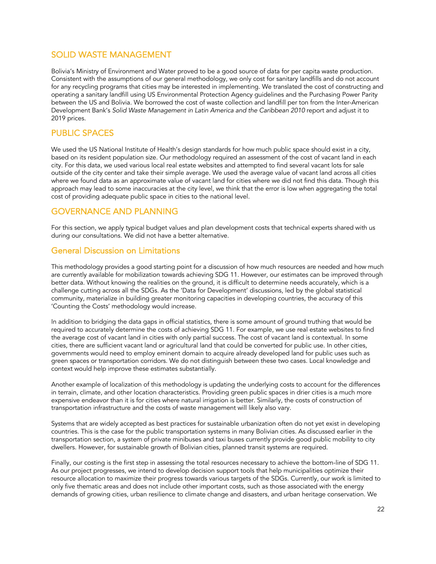#### SOLID WASTE MANAGEMENT

Bolivia's Ministry of Environment and Water proved to be a good source of data for per capita waste production. Consistent with the assumptions of our general methodology, we only cost for sanitary landfills and do not account for any recycling programs that cities may be interested in implementing. We translated the cost of constructing and operating a sanitary landfill using US Environmental Protection Agency guidelines and the Purchasing Power Parity between the US and Bolivia. We borrowed the cost of waste collection and landfill per ton from the Inter-American Development Bank's Solid Waste Management in Latin America and the Caribbean 2010 report and adjust it to 2019 prices.

#### PUBLIC SPACES

We used the US National Institute of Health's design standards for how much public space should exist in a city, based on its resident population size. Our methodology required an assessment of the cost of vacant land in each city. For this data, we used various local real estate websites and attempted to find several vacant lots for sale outside of the city center and take their simple average. We used the average value of vacant land across all cities where we found data as an approximate value of vacant land for cities where we did not find this data. Though this approach may lead to some inaccuracies at the city level, we think that the error is low when aggregating the total cost of providing adequate public space in cities to the national level.

#### GOVERNANCE AND PLANNING

For this section, we apply typical budget values and plan development costs that technical experts shared with us during our consultations. We did not have a better alternative.

#### General Discussion on Limitations

This methodology provides a good starting point for a discussion of how much resources are needed and how much are currently available for mobilization towards achieving SDG 11. However, our estimates can be improved through better data. Without knowing the realities on the ground, it is difficult to determine needs accurately, which is a challenge cutting across all the SDGs. As the 'Data for Development' discussions, led by the global statistical community, materialize in building greater monitoring capacities in developing countries, the accuracy of this 'Counting the Costs' methodology would increase.

In addition to bridging the data gaps in official statistics, there is some amount of ground truthing that would be required to accurately determine the costs of achieving SDG 11. For example, we use real estate websites to find the average cost of vacant land in cities with only partial success. The cost of vacant land is contextual. In some cities, there are sufficient vacant land or agricultural land that could be converted for public use. In other cities, governments would need to employ eminent domain to acquire already developed land for public uses such as green spaces or transportation corridors. We do not distinguish between these two cases. Local knowledge and context would help improve these estimates substantially.

Another example of localization of this methodology is updating the underlying costs to account for the differences in terrain, climate, and other location characteristics. Providing green public spaces in drier cities is a much more expensive endeavor than it is for cities where natural irrigation is better. Similarly, the costs of construction of transportation infrastructure and the costs of waste management will likely also vary.

Systems that are widely accepted as best practices for sustainable urbanization often do not yet exist in developing countries. This is the case for the public transportation systems in many Bolivian cities. As discussed earlier in the transportation section, a system of private minibuses and taxi buses currently provide good public mobility to city dwellers. However, for sustainable growth of Bolivian cities, planned transit systems are required.

Finally, our costing is the first step in assessing the total resources necessary to achieve the bottom-line of SDG 11. As our project progresses, we intend to develop decision support tools that help municipalities optimize their resource allocation to maximize their progress towards various targets of the SDGs. Currently, our work is limited to only five thematic areas and does not include other important costs, such as those associated with the energy demands of growing cities, urban resilience to climate change and disasters, and urban heritage conservation. We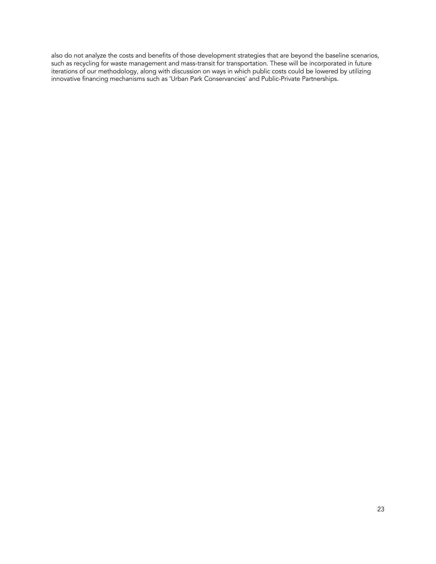also do not analyze the costs and benefits of those development strategies that are beyond the baseline scenarios, such as recycling for waste management and mass-transit for transportation. These will be incorporated in future iterations of our methodology, along with discussion on ways in which public costs could be lowered by utilizing innovative financing mechanisms such as 'Urban Park Conservancies' and Public-Private Partnerships.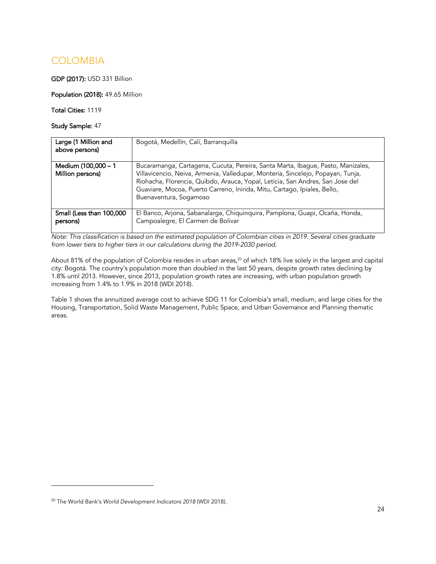### **COLOMBIA**

GDP (2017): USD 331 Billion

Population (2018): 49.65 Million

Total Cities: 1119

Study Sample: 47

| Large (1 Million and<br>above persons)  | Bogotá, Medellín, Cali, Barranguilla                                                                                                                                                                                                                                                                                                                      |
|-----------------------------------------|-----------------------------------------------------------------------------------------------------------------------------------------------------------------------------------------------------------------------------------------------------------------------------------------------------------------------------------------------------------|
| Medium (100,000 - 1<br>Million persons) | Bucaramanga, Cartagena, Cucuta, Pereira, Santa Marta, Ibague, Pasto, Manizales,<br>Villavicencio, Neiva, Armenia, Valledupar, Monteria, Sincelejo, Popayan, Tunja,<br>Riohacha, Florencia, Quibdo, Arauca, Yopal, Leticia, San Andres, San Jose del<br>Guaviare, Mocoa, Puerto Carreno, Inirida, Mitu, Cartago, Ipiales, Bello,<br>Buenaventura, Sogamoso |
| Small (Less than 100,000<br>persons)    | El Banco, Arjona, Sabanalarga, Chiquinquira, Pamplona, Guapi, Ocaña, Honda,<br>Campoalegre, El Carmen de Bolivar                                                                                                                                                                                                                                          |

*Note: This classification is based on the estimated population of Colombian cities in 2019. Several cities graduate from lower tiers to higher tiers in our calculations during the 2019-2030 period.* 

About 81% of the population of Colombia resides in urban areas,<sup>20</sup> of which 18% live solely in the largest and capital city: Bogotá. The country's population more than doubled in the last 50 years, despite growth rates declining by 1.8% until 2013. However, since 2013, population growth rates are increasing, with urban population growth increasing from 1.4% to 1.9% in 2018 (WDI 2018).

Table 1 shows the annuitized average cost to achieve SDG 11 for Colombia's small, medium, and large cities for the Housing, Transportation, Solid Waste Management, Public Space, and Urban Governance and Planning thematic areas.

<sup>20</sup> The World Bank's *World Development Indicators 2018* (WDI 2018).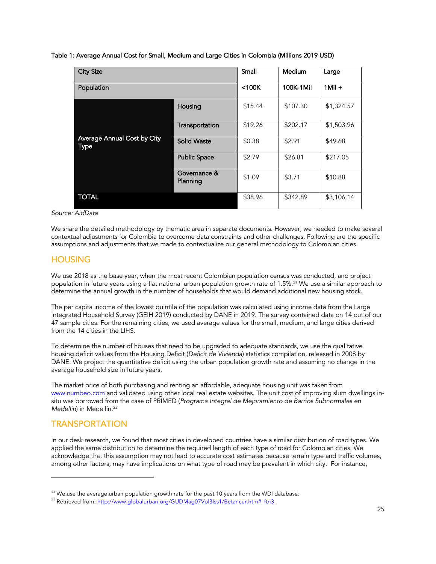#### Table 1: Average Annual Cost for Small, Medium and Large Cities in Colombia (Millions 2019 USD)

| <b>City Size</b>                    |                          | Small     | <b>Medium</b> | Large      |
|-------------------------------------|--------------------------|-----------|---------------|------------|
| Population                          | $<$ 100 $<$              | 100K-1Mil | $1$ Mil +     |            |
|                                     | Housing                  | \$15.44   | \$107.30      | \$1,324.57 |
|                                     | Transportation           | \$19.26   | \$202.17      | \$1,503.96 |
| Average Annual Cost by City<br>Type | <b>Solid Waste</b>       | \$0.38    | \$2.91        | \$49.68    |
|                                     | <b>Public Space</b>      | \$2.79    | \$26.81       | \$217.05   |
|                                     | Governance &<br>Planning | \$1.09    | \$3.71        | \$10.88    |
| <b>TOTAL</b>                        |                          | \$38.96   | \$342.89      | \$3,106.14 |

*Source: AidData*

We share the detailed methodology by thematic area in separate documents. However, we needed to make several contextual adjustments for Colombia to overcome data constraints and other challenges. Following are the specific assumptions and adjustments that we made to contextualize our general methodology to Colombian cities.

#### **HOUSING**

We use 2018 as the base year, when the most recent Colombian population census was conducted, and project population in future years using a flat national urban population growth rate of 1.5%. <sup>21</sup> We use a similar approach to determine the annual growth in the number of households that would demand additional new housing stock.

The per capita income of the lowest quintile of the population was calculated using income data from the Large Integrated Household Survey (GEIH 2019) conducted by DANE in 2019. The survey contained data on 14 out of our 47 sample cities. For the remaining cities, we used average values for the small, medium, and large cities derived from the 14 cities in the LIHS.

To determine the number of houses that need to be upgraded to adequate standards, we use the qualitative housing deficit values from the Housing Deficit (*Deficit de Vivienda*) statistics compilation, released in 2008 by DANE. We project the quantitative deficit using the urban population growth rate and assuming no change in the average household size in future years.

The market price of both purchasing and renting an affordable, adequate housing unit was taken from www.numbeo.com and validated using other local real estate websites. The unit cost of improving slum dwellings insitu was borrowed from the case of PRIMED (*Programa Integral de Mejoramiento de Barrios Subnormales en Medellín*) in Medellín. 22

#### **TRANSPORTATION**

In our desk research, we found that most cities in developed countries have a similar distribution of road types. We applied the same distribution to determine the required length of each type of road for Colombian cities. We acknowledge that this assumption may not lead to accurate cost estimates because terrain type and traffic volumes, among other factors, may have implications on what type of road may be prevalent in which city. For instance,

<sup>&</sup>lt;sup>21</sup> We use the average urban population growth rate for the past 10 years from the WDI database.<br><sup>22</sup> Retrieved from: <u>http://www.globalurban.org/GUDMag07Vol3Iss1/Betancur.htm#\_ftn3</u>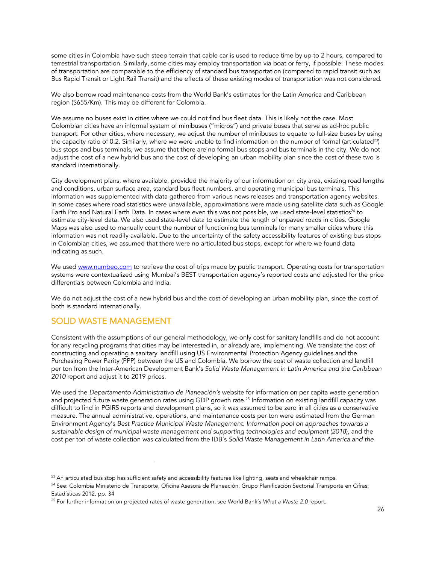some cities in Colombia have such steep terrain that cable car is used to reduce time by up to 2 hours, compared to terrestrial transportation. Similarly, some cities may employ transportation via boat or ferry, if possible. These modes of transportation are comparable to the efficiency of standard bus transportation (compared to rapid transit such as Bus Rapid Transit or Light Rail Transit) and the effects of these existing modes of transportation was not considered.

We also borrow road maintenance costs from the World Bank's estimates for the Latin America and Caribbean region (\$655/Km). This may be different for Colombia.

We assume no buses exist in cities where we could not find bus fleet data. This is likely not the case. Most Colombian cities have an informal system of minibuses ("micros") and private buses that serve as ad-hoc public transport. For other cities, where necessary, we adjust the number of minibuses to equate to full-size buses by using the capacity ratio of 0.2. Similarly, where we were unable to find information on the number of formal (articulated<sup>23)</sup> bus stops and bus terminals, we assume that there are no formal bus stops and bus terminals in the city. We do not adjust the cost of a new hybrid bus and the cost of developing an urban mobility plan since the cost of these two is standard internationally.

City development plans, where available, provided the majority of our information on city area, existing road lengths and conditions, urban surface area, standard bus fleet numbers, and operating municipal bus terminals. This information was supplemented with data gathered from various news releases and transportation agency websites. In some cases where road statistics were unavailable, approximations were made using satellite data such as Google Earth Pro and Natural Earth Data. In cases where even this was not possible, we used state-level statistics<sup>24</sup> to estimate city-level data. We also used state-level data to estimate the length of unpaved roads in cities. Google Maps was also used to manually count the number of functioning bus terminals for many smaller cities where this information was not readily available. Due to the uncertainty of the safety accessibility features of existing bus stops in Colombian cities, we assumed that there were no articulated bus stops, except for where we found data indicating as such.

We used www.numbeo.com to retrieve the cost of trips made by public transport. Operating costs for transportation systems were contextualized using Mumbai's BEST transportation agency's reported costs and adjusted for the price differentials between Colombia and India.

We do not adjust the cost of a new hybrid bus and the cost of developing an urban mobility plan, since the cost of both is standard internationally.

#### SOLID WASTE MANAGEMENT

Consistent with the assumptions of our general methodology, we only cost for sanitary landfills and do not account for any recycling programs that cities may be interested in, or already are, implementing. We translate the cost of constructing and operating a sanitary landfill using US Environmental Protection Agency guidelines and the Purchasing Power Parity (PPP) between the US and Colombia. We borrow the cost of waste collection and landfill per ton from the Inter-American Development Bank's *Solid Waste Management in Latin America and the Caribbean 2010* report and adjust it to 2019 prices.

We used the *Departamento Administrativo de Planeación's* website for information on per capita waste generation and projected future waste generation rates using GDP growth rate. <sup>25</sup> Information on existing landfill capacity was difficult to find in PGIRS reports and development plans, so it was assumed to be zero in all cities as a conservative measure. The annual administrative, operations, and maintenance costs per ton were estimated from the German Environment Agency's *Best Practice Municipal Waste Management: Information pool on approaches towards a sustainable design of municipal waste management and supporting technologies and equipment (2018*), and the cost per ton of waste collection was calculated from the IDB's *Solid Waste Management in Latin America and the* 

 $23$  An articulated bus stop has sufficient safety and accessibility features like lighting, seats and wheelchair ramps.

<sup>&</sup>lt;sup>24</sup> See: Colombia Ministerio de Transporte, Oficina Asesora de Planeación, Grupo Planificación Sectorial Transporte en Cifras: Estadísticas 2012, pp. 34

<sup>25</sup> For further information on projected rates of waste generation, see World Bank's *What a Waste 2.0* report.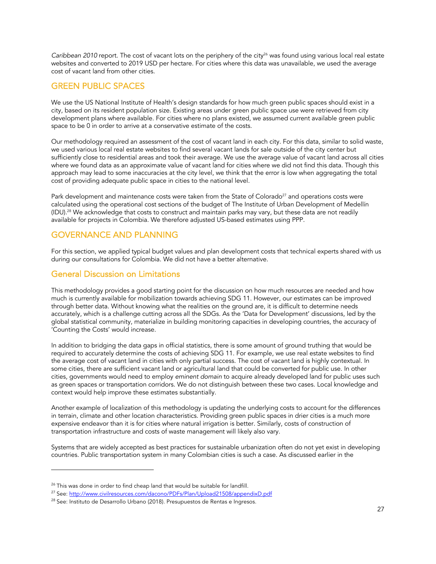*Caribbean 2010 report. The cost of vacant lots on the periphery of the city<sup>26</sup> was found using various local real estate* websites and converted to 2019 USD per hectare. For cities where this data was unavailable, we used the average cost of vacant land from other cities.

#### GREEN PUBLIC SPACES

We use the US National Institute of Health's design standards for how much green public spaces should exist in a city, based on its resident population size. Existing areas under green public space use were retrieved from city development plans where available. For cities where no plans existed, we assumed current available green public space to be 0 in order to arrive at a conservative estimate of the costs.

Our methodology required an assessment of the cost of vacant land in each city. For this data, similar to solid waste, we used various local real estate websites to find several vacant lands for sale outside of the city center but sufficiently close to residential areas and took their average. We use the average value of vacant land across all cities where we found data as an approximate value of vacant land for cities where we did not find this data. Though this approach may lead to some inaccuracies at the city level, we think that the error is low when aggregating the total cost of providing adequate public space in cities to the national level.

Park development and maintenance costs were taken from the State of Colorado<sup>27</sup> and operations costs were calculated using the operational cost sections of the budget of The Institute of Urban Development of Medellín (IDU).<sup>28</sup> We acknowledge that costs to construct and maintain parks may vary, but these data are not readily available for projects in Colombia. We therefore adjusted US-based estimates using PPP.

#### GOVERNANCE AND PLANNING

For this section, we applied typical budget values and plan development costs that technical experts shared with us during our consultations for Colombia. We did not have a better alternative.

#### General Discussion on Limitations

This methodology provides a good starting point for the discussion on how much resources are needed and how much is currently available for mobilization towards achieving SDG 11. However, our estimates can be improved through better data. Without knowing what the realities on the ground are, it is difficult to determine needs accurately, which is a challenge cutting across all the SDGs. As the 'Data for Development' discussions, led by the global statistical community, materialize in building monitoring capacities in developing countries, the accuracy of 'Counting the Costs' would increase.

In addition to bridging the data gaps in official statistics, there is some amount of ground truthing that would be required to accurately determine the costs of achieving SDG 11. For example, we use real estate websites to find the average cost of vacant land in cities with only partial success. The cost of vacant land is highly contextual. In some cities, there are sufficient vacant land or agricultural land that could be converted for public use. In other cities, governments would need to employ *eminent domain* to acquire already developed land for public uses such as green spaces or transportation corridors. We do not distinguish between these two cases. Local knowledge and context would help improve these estimates substantially.

Another example of localization of this methodology is updating the underlying costs to account for the differences in terrain, climate and other location characteristics. Providing green public spaces in drier cities is a much more expensive endeavor than it is for cities where natural irrigation is better. Similarly, costs of construction of transportation infrastructure and costs of waste management will likely also vary.

Systems that are widely accepted as best practices for sustainable urbanization often do not yet exist in developing countries. Public transportation system in many Colombian cities is such a case. As discussed earlier in the

<sup>&</sup>lt;sup>26</sup> This was done in order to find cheap land that would be suitable for landfill.

<sup>&</sup>lt;sup>27</sup> See: http://www.civilresources.com/dacono/PDFs/Plan/Upload21508/appendixD.pdf

<sup>&</sup>lt;sup>28</sup> See: Instituto de Desarrollo Urbano (2018). Presupuestos de Rentas e Ingresos.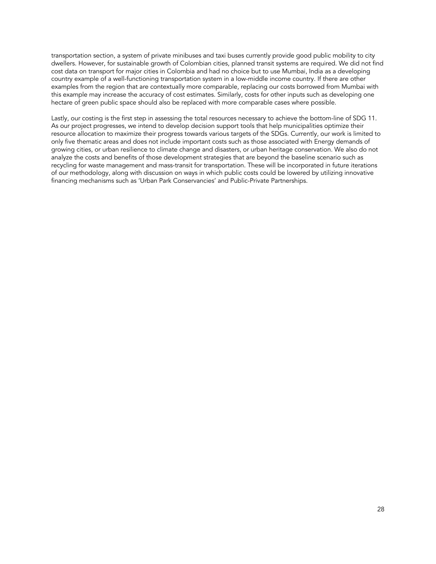transportation section, a system of private minibuses and taxi buses currently provide good public mobility to city dwellers. However, for sustainable growth of Colombian cities, planned transit systems are required. We did not find cost data on transport for major cities in Colombia and had no choice but to use Mumbai, India as a developing country example of a well-functioning transportation system in a low-middle income country. If there are other examples from the region that are contextually more comparable, replacing our costs borrowed from Mumbai with this example may increase the accuracy of cost estimates. Similarly, costs for other inputs such as developing one hectare of green public space should also be replaced with more comparable cases where possible.

Lastly, our costing is the first step in assessing the total resources necessary to achieve the bottom-line of SDG 11. As our project progresses, we intend to develop decision support tools that help municipalities optimize their resource allocation to maximize their progress towards various targets of the SDGs. Currently, our work is limited to only five thematic areas and does not include important costs such as those associated with Energy demands of growing cities, or urban resilience to climate change and disasters, or urban heritage conservation. We also do not analyze the costs and benefits of those development strategies that are beyond the baseline scenario such as recycling for waste management and mass-transit for transportation. These will be incorporated in future iterations of our methodology, along with discussion on ways in which public costs could be lowered by utilizing innovative financing mechanisms such as 'Urban Park Conservancies' and Public-Private Partnerships.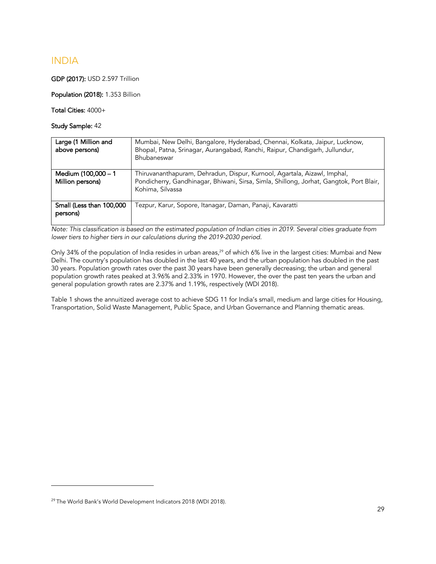#### INDIA

GDP (2017): USD 2.597 Trillion

Population (2018): 1.353 Billion

Total Cities: 4000+

Study Sample: 42

| Large (1 Million and<br>above persons)  | Mumbai, New Delhi, Bangalore, Hyderabad, Chennai, Kolkata, Jaipur, Lucknow,<br>Bhopal, Patna, Srinagar, Aurangabad, Ranchi, Raipur, Chandigarh, Jullundur,<br>Bhubaneswar               |
|-----------------------------------------|-----------------------------------------------------------------------------------------------------------------------------------------------------------------------------------------|
| Medium (100,000 - 1<br>Million persons) | Thiruvananthapuram, Dehradun, Dispur, Kurnool, Agartala, Aizawl, Imphal,<br>Pondicherry, Gandhinagar, Bhiwani, Sirsa, Simla, Shillong, Jorhat, Gangtok, Port Blair,<br>Kohima, Silvassa |
| Small (Less than 100,000<br>persons)    | Tezpur, Karur, Sopore, Itanagar, Daman, Panaji, Kavaratti                                                                                                                               |

*Note: This classification is based on the estimated population of Indian cities in 2019. Several cities graduate from lower tiers to higher tiers in our calculations during the 2019-2030 period.* 

Only 34% of the population of India resides in urban areas,<sup>29</sup> of which 6% live in the largest cities: Mumbai and New Delhi. The country's population has doubled in the last 40 years, and the urban population has doubled in the past 30 years. Population growth rates over the past 30 years have been generally decreasing; the urban and general population growth rates peaked at 3.96% and 2.33% in 1970. However, the over the past ten years the urban and general population growth rates are 2.37% and 1.19%, respectively (WDI 2018).

Table 1 shows the annuitized average cost to achieve SDG 11 for India's small, medium and large cities for Housing, Transportation, Solid Waste Management, Public Space, and Urban Governance and Planning thematic areas.

<sup>29</sup> The World Bank's World Development Indicators 2018 (WDI 2018).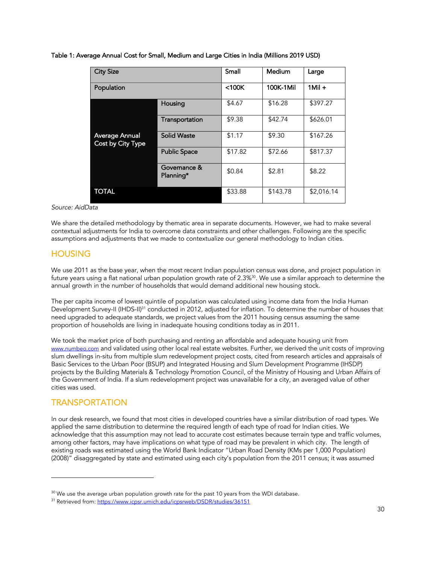|  |  |  | Table 1: Average Annual Cost for Small, Medium and Large Cities in India (Millions 2019 USD) |  |
|--|--|--|----------------------------------------------------------------------------------------------|--|
|  |  |  |                                                                                              |  |

| <b>City Size</b>  |                     | Small       | Medium    | Large      |
|-------------------|---------------------|-------------|-----------|------------|
|                   |                     |             |           |            |
| Population        |                     | $<$ 100 $K$ | 100K-1Mil | $1$ Mil +  |
|                   |                     |             |           |            |
|                   | Housing             | \$4.67      | \$16.28   | \$397.27   |
|                   |                     |             |           |            |
|                   | Transportation      | \$9.38      | \$42.74   | \$626.01   |
|                   |                     |             |           |            |
| Average Annual    | <b>Solid Waste</b>  | \$1.17      | \$9.30    | \$167.26   |
| Cost by City Type |                     |             |           |            |
|                   | <b>Public Space</b> | \$17.82     | \$72.66   | \$817.37   |
|                   |                     |             |           |            |
|                   | Governance &        | \$0.84      | \$2.81    | \$8.22     |
|                   | Planning*           |             |           |            |
|                   |                     |             |           |            |
| TOTAL             |                     | \$33.88     | \$143.78  | \$2,016.14 |
|                   |                     |             |           |            |

#### *Source: AidData*

We share the detailed methodology by thematic area in separate documents. However, we had to make several contextual adjustments for India to overcome data constraints and other challenges. Following are the specific assumptions and adjustments that we made to contextualize our general methodology to Indian cities.

#### **HOUSING**

We use 2011 as the base year, when the most recent Indian population census was done, and project population in future years using a flat national urban population growth rate of 2.3%30. We use a similar approach to determine the annual growth in the number of households that would demand additional new housing stock.

The per capita income of lowest quintile of population was calculated using income data from the India Human Development Survey-II (IHDS-II)<sup>31</sup> conducted in 2012, adjusted for inflation. To determine the number of houses that need upgraded to adequate standards, we project values from the 2011 housing census assuming the same proportion of households are living in inadequate housing conditions today as in 2011.

We took the market price of both purchasing and renting an affordable and adequate housing unit from www.numbeo.com and validated using other local real estate websites. Further, we derived the unit costs of improving slum dwellings in-situ from multiple slum redevelopment project costs, cited from research articles and appraisals of Basic Services to the Urban Poor (BSUP) and Integrated Housing and Slum Development Programme (IHSDP) projects by the Building Materials & Technology Promotion Council, of the Ministry of Housing and Urban Affairs of the Government of India. If a slum redevelopment project was unavailable for a city, an averaged value of other cities was used.

#### TRANSPORTATION

In our desk research, we found that most cities in developed countries have a similar distribution of road types. We applied the same distribution to determine the required length of each type of road for Indian cities. We acknowledge that this assumption may not lead to accurate cost estimates because terrain type and traffic volumes, among other factors, may have implications on what type of road may be prevalent in which city. The length of existing roads was estimated using the World Bank Indicator "Urban Road Density (KMs per 1,000 Population) (2008)" disaggregated by state and estimated using each city's population from the 2011 census; it was assumed

<sup>&</sup>lt;sup>30</sup> We use the average urban population growth rate for the past 10 years from the WDI database.<br><sup>31</sup> Retrieved from: <u>https://www.icpsr.umich.edu/icpsrweb/DSDR/studies/36151</u>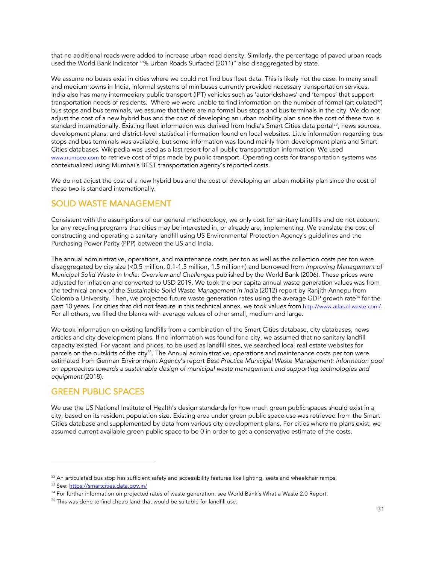that no additional roads were added to increase urban road density. Similarly, the percentage of paved urban roads used the World Bank Indicator "% Urban Roads Surfaced (2011)" also disaggregated by state.

We assume no buses exist in cities where we could not find bus fleet data. This is likely not the case. In many small and medium towns in India, informal systems of minibuses currently provided necessary transportation services. India also has many intermediary public transport (IPT) vehicles such as 'autorickshaws' and 'tempos' that support transportation needs of residents. Where we were unable to find information on the number of formal (articulated<sup>32</sup>) bus stops and bus terminals, we assume that there are no formal bus stops and bus terminals in the city. We do not adjust the cost of a new hybrid bus and the cost of developing an urban mobility plan since the cost of these two is standard internationally. Existing fleet information was derived from India's Smart Cities data portal<sup>33</sup>, news sources, development plans, and district-level statistical information found on local websites. Little information regarding bus stops and bus terminals was available, but some information was found mainly from development plans and Smart Cities databases. Wikipedia was used as a last resort for all public transportation information. We used www.numbeo.com to retrieve cost of trips made by public transport. Operating costs for transportation systems was contextualized using Mumbai's BEST transportation agency's reported costs.

We do not adjust the cost of a new hybrid bus and the cost of developing an urban mobility plan since the cost of these two is standard internationally.

#### SOLID WASTE MANAGEMENT

Consistent with the assumptions of our general methodology, we only cost for sanitary landfills and do not account for any recycling programs that cities may be interested in, or already are, implementing. We translate the cost of constructing and operating a sanitary landfill using US Environmental Protection Agency's guidelines and the Purchasing Power Parity (PPP) between the US and India.

The annual administrative, operations, and maintenance costs per ton as well as the collection costs per ton were disaggregated by city size (<0.5 million, 0.1-1.5 million, 1.5 million+) and borrowed from *Improving Management of Municipal Solid Waste in India: Overview and Challenges published by the World Bank (2006). These prices were* adjusted for inflation and converted to USD 2019. We took the per capita annual waste generation values was from the technical annex of the *Sustainable Solid Waste Management in India* (2012) report by Ranjith Annepu from Colombia University. Then, we projected future waste generation rates using the average GDP growth rate<sup>34</sup> for the past 10 years. For cities that did not feature in this technical annex, we took values from http://www.atlas.d-waste.com/. For all others, we filled the blanks with average values of other small, medium and large.

We took information on existing landfills from a combination of the Smart Cities database, city databases, news articles and city development plans. If no information was found for a city, we assumed that no sanitary landfill capacity existed. For vacant land prices, to be used as landfill sites, we searched local real estate websites for parcels on the outskirts of the city<sup>35</sup>. The Annual administrative, operations and maintenance costs per ton were estimated from German Environment Agency's report *Best Practice Municipal Waste Management: Information pool on approaches towards a sustainable design of municipal waste management and supporting technologies and equipment* (2018).

#### GREEN PUBLIC SPACES

We use the US National Institute of Health's design standards for how much green public spaces should exist in a city, based on its resident population size. Existing area under green public space use was retrieved from the Smart Cities database and supplemented by data from various city development plans. For cities where no plans exist, we assumed current available green public space to be 0 in order to get a conservative estimate of the costs.

 $32$  An articulated bus stop has sufficient safety and accessibility features like lighting, seats and wheelchair ramps.

<sup>33</sup> See: https://smartcities.data.gov.in/

 $34$  For further information on projected rates of waste generation, see World Bank's What a Waste 2.0 Report.<br> $35$  This was done to find cheap land that would be suitable for landfill use.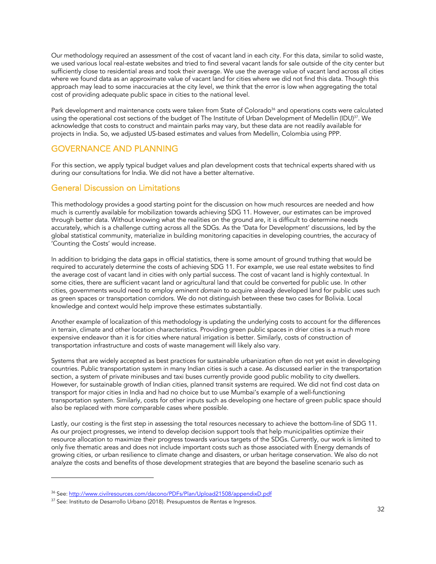Our methodology required an assessment of the cost of vacant land in each city. For this data, similar to solid waste, we used various local real-estate websites and tried to find several vacant lands for sale outside of the city center but sufficiently close to residential areas and took their average. We use the average value of vacant land across all cities where we found data as an approximate value of vacant land for cities where we did not find this data. Though this approach may lead to some inaccuracies at the city level, we think that the error is low when aggregating the total cost of providing adequate public space in cities to the national level.

Park development and maintenance costs were taken from State of Colorado<sup>36</sup> and operations costs were calculated using the operational cost sections of the budget of The Institute of Urban Development of Medellin (IDU)<sup>37</sup>. We acknowledge that costs to construct and maintain parks may vary, but these data are not readily available for projects in India. So, we adjusted US-based estimates and values from Medellin, Colombia using PPP.

#### GOVERNANCE AND PLANNING

For this section, we apply typical budget values and plan development costs that technical experts shared with us during our consultations for India. We did not have a better alternative.

#### General Discussion on Limitations

This methodology provides a good starting point for the discussion on how much resources are needed and how much is currently available for mobilization towards achieving SDG 11. However, our estimates can be improved through better data. Without knowing what the realities on the ground are, it is difficult to determine needs accurately, which is a challenge cutting across all the SDGs. As the 'Data for Development' discussions, led by the global statistical community, materialize in building monitoring capacities in developing countries, the accuracy of 'Counting the Costs' would increase.

In addition to bridging the data gaps in official statistics, there is some amount of ground truthing that would be required to accurately determine the costs of achieving SDG 11. For example, we use real estate websites to find the average cost of vacant land in cities with only partial success. The cost of vacant land is highly contextual. In some cities, there are sufficient vacant land or agricultural land that could be converted for public use. In other cities, governments would need to employ *eminent domain* to acquire already developed land for public uses such as green spaces or transportation corridors. We do not distinguish between these two cases for Bolivia. Local knowledge and context would help improve these estimates substantially.

Another example of localization of this methodology is updating the underlying costs to account for the differences in terrain, climate and other location characteristics. Providing green public spaces in drier cities is a much more expensive endeavor than it is for cities where natural irrigation is better. Similarly, costs of construction of transportation infrastructure and costs of waste management will likely also vary.

Systems that are widely accepted as best practices for sustainable urbanization often do not yet exist in developing countries. Public transportation system in many Indian cities is such a case. As discussed earlier in the transportation section, a system of private minibuses and taxi buses currently provide good public mobility to city dwellers. However, for sustainable growth of Indian cities, planned transit systems are required. We did not find cost data on transport for major cities in India and had no choice but to use Mumbai's example of a well-functioning transportation system. Similarly, costs for other inputs such as developing one hectare of green public space should also be replaced with more comparable cases where possible.

Lastly, our costing is the first step in assessing the total resources necessary to achieve the bottom-line of SDG 11. As our project progresses, we intend to develop decision support tools that help municipalities optimize their resource allocation to maximize their progress towards various targets of the SDGs. Currently, our work is limited to only five thematic areas and does not include important costs such as those associated with Energy demands of growing cities, or urban resilience to climate change and disasters, or urban heritage conservation. We also do not analyze the costs and benefits of those development strategies that are beyond the baseline scenario such as

<sup>36</sup> See: http://www.civilresources.com/dacono/PDFs/Plan/Upload21508/appendixD.pdf

<sup>37</sup> See: Instituto de Desarrollo Urbano (2018). Presupuestos de Rentas e Ingresos.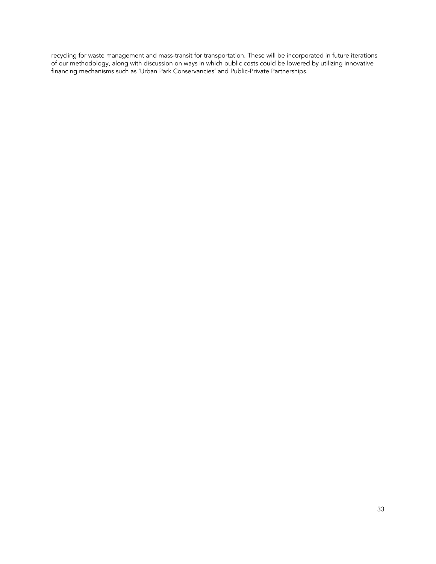recycling for waste management and mass-transit for transportation. These will be incorporated in future iterations of our methodology, along with discussion on ways in which public costs could be lowered by utilizing innovative financing mechanisms such as 'Urban Park Conservancies' and Public-Private Partnerships.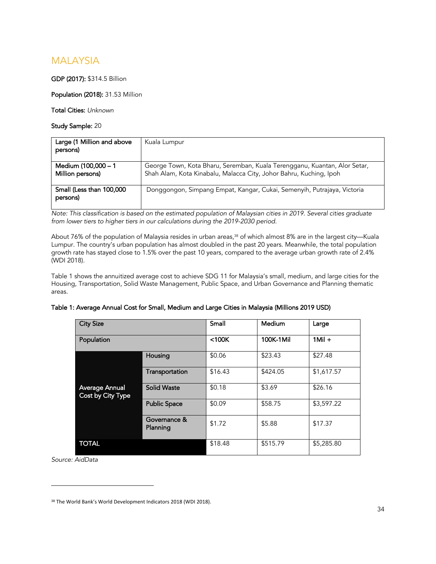#### MALAYSIA

#### GDP (2017): \$314.5 Billion

Population (2018): 31.53 Million

Total Cities: *Unknown*

Study Sample: 20

| Large (1 Million and above<br>persons)  | Kuala Lumpur                                                                                                                                    |
|-----------------------------------------|-------------------------------------------------------------------------------------------------------------------------------------------------|
|                                         |                                                                                                                                                 |
| Medium (100,000 - 1<br>Million persons) | George Town, Kota Bharu, Seremban, Kuala Terengganu, Kuantan, Alor Setar,<br>Shah Alam, Kota Kinabalu, Malacca City, Johor Bahru, Kuching, Ipoh |
| Small (Less than 100,000<br>persons)    | Donggongon, Simpang Empat, Kangar, Cukai, Semenyih, Putrajaya, Victoria                                                                         |

*Note: This classification is based on the estimated population of Malaysian cities in 2019. Several cities graduate from lower tiers to higher tiers in our calculations during the 2019-2030 period.* 

About 76% of the population of Malaysia resides in urban areas, $^{\rm 38}$  of which almost 8% are in the largest city—Kuala Lumpur. The country's urban population has almost doubled in the past 20 years. Meanwhile, the total population growth rate has stayed close to 1.5% over the past 10 years, compared to the average urban growth rate of 2.4% (WDI 2018).

Table 1 shows the annuitized average cost to achieve SDG 11 for Malaysia's small, medium, and large cities for the Housing, Transportation, Solid Waste Management, Public Space, and Urban Governance and Planning thematic areas.

| Table 1: Average Annual Cost for Small, Medium and Large Cities in Malaysia (Millions 2019 USD) |
|-------------------------------------------------------------------------------------------------|
|-------------------------------------------------------------------------------------------------|

| <b>City Size</b>                    |                          | Small       | Medium    | Large      |
|-------------------------------------|--------------------------|-------------|-----------|------------|
| Population                          |                          | $<$ 100 $K$ | 100K-1Mil | $1$ Mil +  |
|                                     | Housing                  | \$0.06      | \$23.43   | \$27.48    |
|                                     | Transportation           | \$16.43     | \$424.05  | \$1,617.57 |
| Average Annual<br>Cost by City Type | <b>Solid Waste</b>       | \$0.18      | \$3.69    | \$26.16    |
|                                     | <b>Public Space</b>      | \$0.09      | \$58.75   | \$3,597.22 |
|                                     | Governance &<br>Planning | \$1.72      | \$5.88    | \$17.37    |
| <b>TOTAL</b>                        |                          | \$18.48     | \$515.79  | \$5,285.80 |

*Source: AidData*

<sup>38</sup> The World Bank's World Development Indicators 2018 (WDI 2018).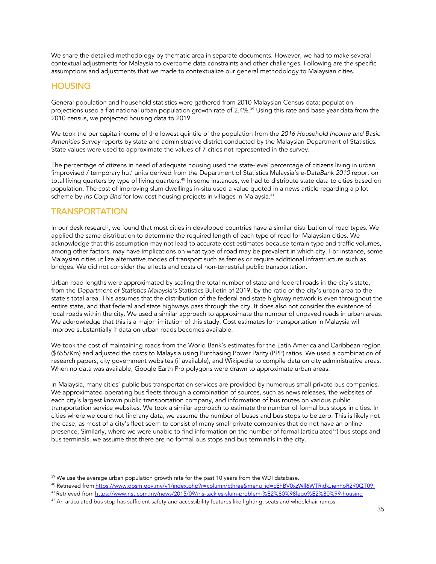We share the detailed methodology by thematic area in separate documents. However, we had to make several contextual adjustments for Malaysia to overcome data constraints and other challenges. Following are the specific assumptions and adjustments that we made to contextualize our general methodology to Malaysian cities.

#### **HOUSING**

General population and household statistics were gathered from 2010 Malaysian Census data; population projections used a flat national urban population growth rate of 2.4%. <sup>39</sup> Using this rate and base year data from the 2010 census, we projected housing data to 2019.

We took the per capita income of the lowest quintile of the population from the *2016 Household Income and Basic Amenities Survey* reports by state and administrative district conducted by the Malaysian Department of Statistics. State values were used to approximate the values of 7 cities not represented in the survey.

The percentage of citizens in need of adequate housing used the state-level percentage of citizens living in urban 'improvised / temporary hut' units derived from the Department of Statistics Malaysia's *e-DataBank 2010* report on total living quarters by type of living quarters.<sup>40</sup> In some instances, we had to distribute state data to cities based on population. The cost of improving slum dwellings in-situ used a value quoted in a news article regarding a pilot scheme by *Iris Corp Bhd* for low-cost housing projects in villages in Malaysia. 41

#### **TRANSPORTATION**

In our desk research, we found that most cities in developed countries have a similar distribution of road types. We applied the same distribution to determine the required length of each type of road for Malaysian cities. We acknowledge that this assumption may not lead to accurate cost estimates because terrain type and traffic volumes, among other factors, may have implications on what type of road may be prevalent in which city. For instance, some Malaysian cities utilize alternative modes of transport such as ferries or require additional infrastructure such as bridges. We did not consider the effects and costs of non-terrestrial public transportation.

Urban road lengths were approximated by scaling the total number of state and federal roads in the city's state, from the *Department of Statistics Malaysia's* Statistics Bulletin of 2019, by the ratio of the city's urban area to the state's total area. This assumes that the distribution of the federal and state highway network is even throughout the entire state, and that federal and state highways pass through the city. It does also not consider the existence of local roads within the city. We used a similar approach to approximate the number of unpaved roads in urban areas. We acknowledge that this is a major limitation of this study. Cost estimates for transportation in Malaysia will improve substantially if data on urban roads becomes available.

We took the cost of maintaining roads from the World Bank's estimates for the Latin America and Caribbean region (\$655/Km) and adjusted the costs to Malaysia using Purchasing Power Parity (PPP) ratios. We used a combination of research papers, city government websites (if available), and Wikipedia to compile data on city administrative areas. When no data was available, Google Earth Pro polygons were drawn to approximate urban areas.

In Malaysia, many cities' public bus transportation services are provided by numerous small private bus companies. We approximated operating bus fleets through a combination of sources, such as news releases, the websites of each city's largest known public transportation company, and information of bus routes on various public transportation service websites. We took a similar approach to estimate the number of formal bus stops in cities. In cities where we could not find any data, we assume the number of buses and bus stops to be zero. This is likely not the case, as most of a city's fleet seem to consist of many small private companies that do not have an online presence. Similarly, where we were unable to find information on the number of formal (articulated<sup>42</sup>) bus stops and bus terminals, we assume that there are no formal bus stops and bus terminals in the city.

 $39$  We use the average urban population growth rate for the past 10 years from the WDI database.

<sup>40</sup> Retrieved from https://www.dosm.gov.my/v1/index.php?r=column/cthree&menu\_id=cEhBV0xzWll6WTRjdkJienhoR290QT09.<br><sup>41</sup> Retrieved from https://www.nst.com.my/news/2015/09/iris-tackles-slum-problem-%E2%80%98lego%E2%80%99-hous

<sup>&</sup>lt;sup>42</sup> An articulated bus stop has sufficient safety and accessibility features like lighting, seats and wheelchair ramps.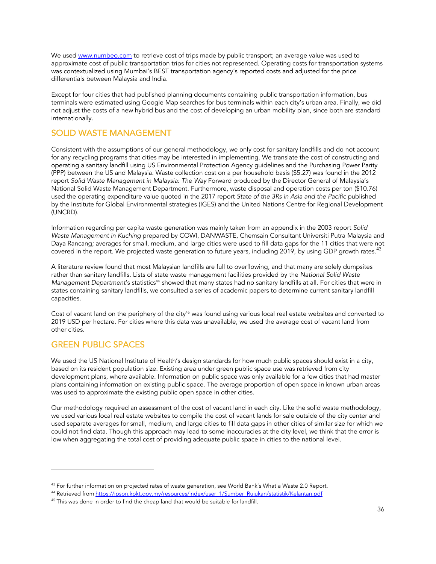We used www.numbeo.com to retrieve cost of trips made by public transport; an average value was used to approximate cost of public transportation trips for cities not represented. Operating costs for transportation systems was contextualized using Mumbai's BEST transportation agency's reported costs and adjusted for the price differentials between Malaysia and India.

Except for four cities that had published planning documents containing public transportation information, bus terminals were estimated using Google Map searches for bus terminals within each city's urban area. Finally, we did not adjust the costs of a new hybrid bus and the cost of developing an urban mobility plan, since both are standard internationally.

#### SOLID WASTE MANAGEMENT

Consistent with the assumptions of our general methodology, we only cost for sanitary landfills and do not account for any recycling programs that cities may be interested in implementing. We translate the cost of constructing and operating a sanitary landfill using US Environmental Protection Agency guidelines and the Purchasing Power Parity (PPP) between the US and Malaysia. Waste collection cost on a per household basis (\$5.27) was found in the 2012 report *Solid Waste Management in Malaysia: The Way* Forward produced by the Director General of Malaysia's National Solid Waste Management Department. Furthermore, waste disposal and operation costs per ton (\$10.76) used the operating expenditure value quoted in the 2017 report *State of the 3Rs in Asia and the Pacific* published by the Institute for Global Environmental strategies (IGES) and the United Nations Centre for Regional Development (UNCRD).

Information regarding per capita waste generation was mainly taken from an appendix in the 2003 report *Solid Waste Management in Kuching* prepared by COWI, DANWASTE, Chemsain Consultant Universiti Putra Malaysia and Daya Rancang*;* averages for small, medium, and large cities were used to fill data gaps for the 11 cities that were not covered in the report. We projected waste generation to future years, including 2019, by using GDP growth rates.<sup>43</sup>

A literature review found that most Malaysian landfills are full to overflowing, and that many are solely dumpsites rather than sanitary landfills. Lists of state waste management facilities provided by the *National Solid Waste Management Department's statistics<sup>44</sup> showed that many states had no sanitary landfills at all. For cities that were in* states containing sanitary landfills, we consulted a series of academic papers to determine current sanitary landfill capacities.

Cost of vacant land on the periphery of the city45 was found using various local real estate websites and converted to 2019 USD per hectare. For cities where this data was unavailable, we used the average cost of vacant land from other cities.

#### GREEN PUBLIC SPACES

We used the US National Institute of Health's design standards for how much public spaces should exist in a city, based on its resident population size. Existing area under green public space use was retrieved from city development plans, where available. Information on public space was only available for a few cities that had master plans containing information on existing public space. The average proportion of open space in known urban areas was used to approximate the existing public open space in other cities.

Our methodology required an assessment of the cost of vacant land in each city. Like the solid waste methodology, we used various local real estate websites to compile the cost of vacant lands for sale outside of the city center and used separate averages for small, medium, and large cities to fill data gaps in other cities of similar size for which we could not find data. Though this approach may lead to some inaccuracies at the city level, we think that the error is low when aggregating the total cost of providing adequate public space in cities to the national level.

 $43$  For further information on projected rates of waste generation, see World Bank's What a Waste 2.0 Report.

<sup>&</sup>lt;sup>44</sup> Retrieved from https://jpspn.kpkt.gov.my/resources/index/user\_1/Sumber\_Rujukan/statistik/Kelantan.pdf

<sup>&</sup>lt;sup>45</sup> This was done in order to find the cheap land that would be suitable for landfill.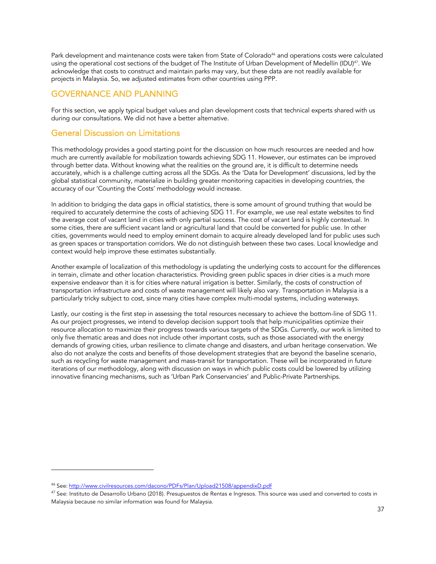Park development and maintenance costs were taken from State of Colorado<sup>46</sup> and operations costs were calculated using the operational cost sections of the budget of The Institute of Urban Development of Medellín (IDU) 47. We acknowledge that costs to construct and maintain parks may vary, but these data are not readily available for projects in Malaysia. So, we adjusted estimates from other countries using PPP.

### GOVERNANCE AND PLANNING

For this section, we apply typical budget values and plan development costs that technical experts shared with us during our consultations. We did not have a better alternative.

### General Discussion on Limitations

This methodology provides a good starting point for the discussion on how much resources are needed and how much are currently available for mobilization towards achieving SDG 11. However, our estimates can be improved through better data. Without knowing what the realities on the ground are, it is difficult to determine needs accurately, which is a challenge cutting across all the SDGs. As the 'Data for Development' discussions, led by the global statistical community, materialize in building greater monitoring capacities in developing countries, the accuracy of our 'Counting the Costs' methodology would increase.

In addition to bridging the data gaps in official statistics, there is some amount of ground truthing that would be required to accurately determine the costs of achieving SDG 11. For example, we use real estate websites to find the average cost of vacant land in cities with only partial success. The cost of vacant land is highly contextual. In some cities, there are sufficient vacant land or agricultural land that could be converted for public use. In other cities, governments would need to employ eminent domain to acquire already developed land for public uses such as green spaces or transportation corridors. We do not distinguish between these two cases. Local knowledge and context would help improve these estimates substantially.

Another example of localization of this methodology is updating the underlying costs to account for the differences in terrain, climate and other location characteristics. Providing green public spaces in drier cities is a much more expensive endeavor than it is for cities where natural irrigation is better. Similarly, the costs of construction of transportation infrastructure and costs of waste management will likely also vary. Transportation in Malaysia is a particularly tricky subject to cost, since many cities have complex multi-modal systems, including waterways.

Lastly, our costing is the first step in assessing the total resources necessary to achieve the bottom-line of SDG 11. As our project progresses, we intend to develop decision support tools that help municipalities optimize their resource allocation to maximize their progress towards various targets of the SDGs. Currently, our work is limited to only five thematic areas and does not include other important costs, such as those associated with the energy demands of growing cities, urban resilience to climate change and disasters, and urban heritage conservation. We also do not analyze the costs and benefits of those development strategies that are beyond the baseline scenario, such as recycling for waste management and mass-transit for transportation. These will be incorporated in future iterations of our methodology, along with discussion on ways in which public costs could be lowered by utilizing innovative financing mechanisms, such as 'Urban Park Conservancies' and Public-Private Partnerships.

<sup>46</sup> See: http://www.civilresources.com/dacono/PDFs/Plan/Upload21508/appendixD.pdf

 $47$  See: Instituto de Desarrollo Urbano (2018). Presupuestos de Rentas e Ingresos. This source was used and converted to costs in Malaysia because no similar information was found for Malaysia.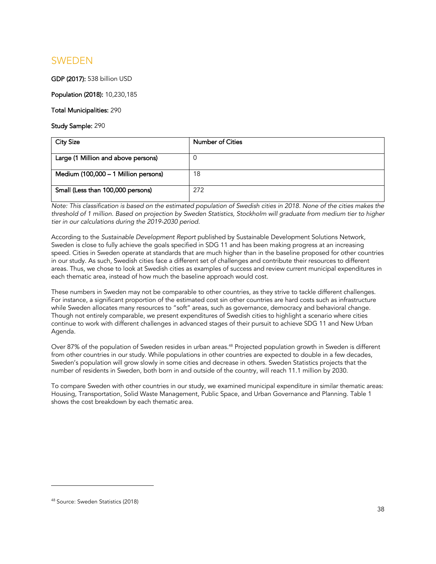## SWEDEN

GDP (2017): 538 billion USD

Population (2018): 10,230,185

### Total Municipalities: 290

Study Sample: 290

| <b>City Size</b>                     | <b>Number of Cities</b> |
|--------------------------------------|-------------------------|
| Large (1 Million and above persons)  | 0                       |
| Medium (100,000 - 1 Million persons) | 18                      |
| Small (Less than 100,000 persons)    | 272                     |

*Note: This classification is based on the estimated population of Swedish cities in 2018. None of the cities makes the threshold of 1 million. Based on projection by Sweden Statistics, Stockholm will graduate from medium tier to higher tier in our calculations during the 2019-2030 period.* 

According to the *Sustainable Development Report* published by Sustainable Development Solutions Network, Sweden is close to fully achieve the goals specified in SDG 11 and has been making progress at an increasing speed. Cities in Sweden operate at standards that are much higher than in the baseline proposed for other countries in our study. As such, Swedish cities face a different set of challenges and contribute their resources to different areas. Thus, we chose to look at Swedish cities as examples of success and review current municipal expenditures in each thematic area, instead of how much the baseline approach would cost.

These numbers in Sweden may not be comparable to other countries, as they strive to tackle different challenges. For instance, a significant proportion of the estimated cost sin other countries are hard costs such as infrastructure while Sweden allocates many resources to "soft" areas, such as governance, democracy and behavioral change. Though not entirely comparable, we present expenditures of Swedish cities to highlight a scenario where cities continue to work with different challenges in advanced stages of their pursuit to achieve SDG 11 and New Urban Agenda.

Over 87% of the population of Sweden resides in urban areas. <sup>48</sup> Projected population growth in Sweden is different from other countries in our study. While populations in other countries are expected to double in a few decades, Sweden's population will grow slowly in some cities and decrease in others. Sweden Statistics projects that the number of residents in Sweden, both born in and outside of the country, will reach 11.1 million by 2030.

To compare Sweden with other countries in our study, we examined municipal expenditure in similar thematic areas: Housing, Transportation, Solid Waste Management, Public Space, and Urban Governance and Planning. Table 1 shows the cost breakdown by each thematic area.

<sup>48</sup> Source: Sweden Statistics (2018)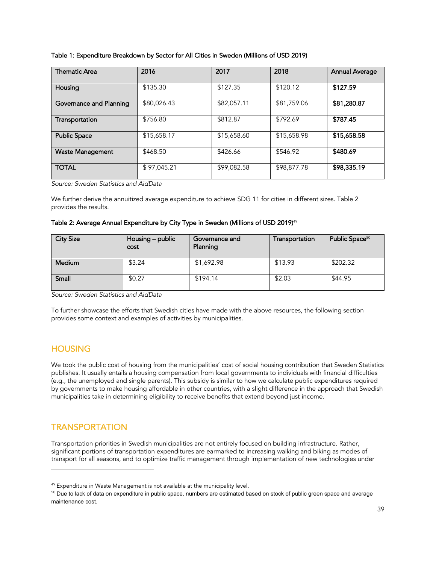| Table 1: Expenditure Breakdown by Sector for All Cities in Sweden (Millions of USD 2019) |  |  |
|------------------------------------------------------------------------------------------|--|--|
|------------------------------------------------------------------------------------------|--|--|

| Thematic Area           | 2016        | 2017        | 2018        | <b>Annual Average</b> |
|-------------------------|-------------|-------------|-------------|-----------------------|
| Housing                 | \$135.30    | \$127.35    | \$120.12    | \$127.59              |
| Governance and Planning | \$80,026.43 | \$82,057.11 | \$81,759.06 | \$81,280.87           |
| Transportation          | \$756.80    | \$812.87    | \$792.69    | \$787.45              |
| <b>Public Space</b>     | \$15,658.17 | \$15,658.60 | \$15,658.98 | \$15,658.58           |
| <b>Waste Management</b> | \$468.50    | \$426.66    | \$546.92    | \$480.69              |
| <b>TOTAL</b>            | \$97,045.21 | \$99,082.58 | \$98,877.78 | \$98,335.19           |

*Source: Sweden Statistics and AidData*

We further derive the annuitized average expenditure to achieve SDG 11 for cities in different sizes. Table 2 provides the results.

### Table 2: Average Annual Expenditure by City Type in Sweden (Millions of USD 2019)<sup>49</sup>

| <b>City Size</b> | Housing - public<br>cost | Governance and<br>Planning | Transportation | Public Space <sup>50</sup> |
|------------------|--------------------------|----------------------------|----------------|----------------------------|
| Medium           | \$3.24                   | \$1,692.98                 | \$13.93        | \$202.32                   |
| Small            | \$0.27                   | \$194.14                   | \$2.03         | \$44.95                    |

*Source: Sweden Statistics and AidData*

To further showcase the efforts that Swedish cities have made with the above resources, the following section provides some context and examples of activities by municipalities.

### **HOUSING**

We took the public cost of housing from the municipalities' cost of social housing contribution that Sweden Statistics publishes. It usually entails a housing compensation from local governments to individuals with financial difficulties (e.g., the unemployed and single parents). This subsidy is similar to how we calculate public expenditures required by governments to make housing affordable in other countries, with a slight difference in the approach that Swedish municipalities take in determining eligibility to receive benefits that extend beyond just income.

### **TRANSPORTATION**

Transportation priorities in Swedish municipalities are not entirely focused on building infrastructure. Rather, significant portions of transportation expenditures are earmarked to increasing walking and biking as modes of transport for all seasons, and to optimize traffic management through implementation of new technologies under

<sup>&</sup>lt;sup>49</sup> Expenditure in Waste Management is not available at the municipality level.

<sup>&</sup>lt;sup>50</sup> Due to lack of data on expenditure in public space, numbers are estimated based on stock of public green space and average maintenance cost.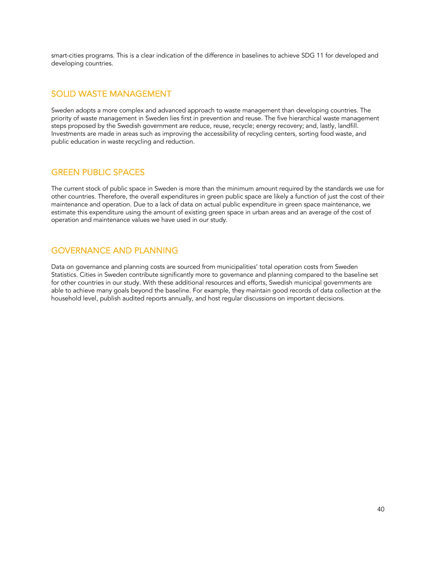smart-cities programs. This is a clear indication of the difference in baselines to achieve SDG 11 for developed and developing countries.

### SOLID WASTE MANAGEMENT

Sweden adopts a more complex and advanced approach to waste management than developing countries. The priority of waste management in Sweden lies first in prevention and reuse. The five hierarchical waste management steps proposed by the Swedish government are reduce, reuse, recycle; energy recovery; and, lastly, landfill. Investments are made in areas such as improving the accessibility of recycling centers, sorting food waste, and public education in waste recycling and reduction.

### GREEN PUBLIC SPACES

The current stock of public space in Sweden is more than the minimum amount required by the standards we use for other countries. Therefore, the overall expenditures in green public space are likely a function of just the cost of their maintenance and operation. Due to a lack of data on actual public expenditure in green space maintenance, we estimate this expenditure using the amount of existing green space in urban areas and an average of the cost of operation and maintenance values we have used in our study.

### GOVERNANCE AND PLANNING

Data on governance and planning costs are sourced from municipalities' total operation costs from Sweden Statistics. Cities in Sweden contribute significantly more to governance and planning compared to the baseline set for other countries in our study. With these additional resources and efforts, Swedish municipal governments are able to achieve many goals beyond the baseline. For example, they maintain good records of data collection at the household level, publish audited reports annually, and host regular discussions on important decisions.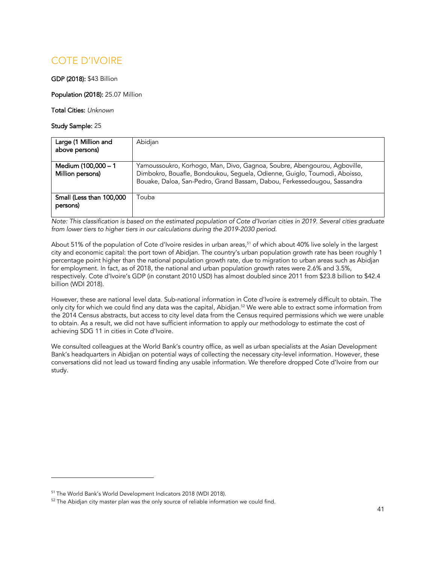# COTE D'IVOIRE

GDP (2018): \$43 Billion

Population (2018): 25.07 Million

Total Cities: *Unknown*

Study Sample: 25

| Large (1 Million and<br>above persons)  | Abidian                                                                                                                                                                                                                           |
|-----------------------------------------|-----------------------------------------------------------------------------------------------------------------------------------------------------------------------------------------------------------------------------------|
| Medium (100,000 - 1<br>Million persons) | Yamoussoukro, Korhogo, Man, Divo, Gagnoa, Soubre, Abengourou, Agboville,<br>Dimbokro, Bouafle, Bondoukou, Seguela, Odienne, Guiglo, Toumodi, Aboisso,<br>Bouake, Daloa, San-Pedro, Grand Bassam, Dabou, Ferkessedougou, Sassandra |
| Small (Less than 100,000<br>persons)    | Touba                                                                                                                                                                                                                             |

*Note: This classification is based on the estimated population of Cote d'Ivorian cities in 2019. Several cities graduate from lower tiers to higher tiers in our calculations during the 2019-2030 period.* 

About 51% of the population of Cote d'Ivoire resides in urban areas, <sup>51</sup> of which about 40% live solely in the largest city and economic capital: the port town of Abidjan. The country's urban population growth rate has been roughly 1 percentage point higher than the national population growth rate, due to migration to urban areas such as Abidjan for employment. In fact, as of 2018, the national and urban population growth rates were 2.6% and 3.5%, respectively. Cote d'Ivoire's GDP (in constant 2010 USD) has almost doubled since 2011 from \$23.8 billion to \$42.4 billion (WDI 2018).

However, these are national level data. Sub-national information in Cote d'Ivoire is extremely difficult to obtain. The only city for which we could find any data was the capital, Abidjan. <sup>52</sup> We were able to extract some information from the 2014 Census abstracts, but access to city level data from the Census required permissions which we were unable to obtain. As a result, we did not have sufficient information to apply our methodology to estimate the cost of achieving SDG 11 in cities in Cote d'Ivoire.

We consulted colleagues at the World Bank's country office, as well as urban specialists at the Asian Development Bank's headquarters in Abidjan on potential ways of collecting the necessary city-level information. However, these conversations did not lead us toward finding any usable information. We therefore dropped Cote d'Ivoire from our study.

<sup>51</sup> The World Bank's World Development Indicators 2018 (WDI 2018).

 $52$  The Abidjan city master plan was the only source of reliable information we could find.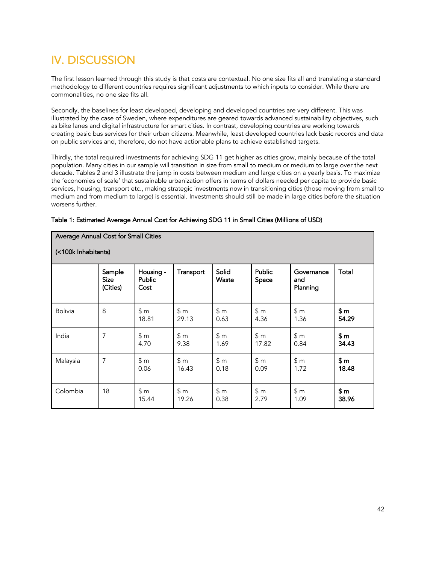# IV. DISCUSSION

The first lesson learned through this study is that costs are contextual. No one size fits all and translating a standard methodology to different countries requires significant adjustments to which inputs to consider. While there are commonalities, no one size fits all.

Secondly, the baselines for least developed, developing and developed countries are very different. This was illustrated by the case of Sweden, where expenditures are geared towards advanced sustainability objectives, such as bike lanes and digital infrastructure for smart cities. In contrast, developing countries are working towards creating basic bus services for their urban citizens. Meanwhile, least developed countries lack basic records and data on public services and, therefore, do not have actionable plans to achieve established targets.

Thirdly, the total required investments for achieving SDG 11 get higher as cities grow, mainly because of the total population. Many cities in our sample will transition in size from small to medium or medium to large over the next decade. Tables 2 and 3 illustrate the jump in costs between medium and large cities on a yearly basis. To maximize the 'economies of scale' that sustainable urbanization offers in terms of dollars needed per capita to provide basic services, housing, transport etc., making strategic investments now in transitioning cities (those moving from small to medium and from medium to large) is essential. Investments should still be made in large cities before the situation worsens further.

|                     | Average Annual Cost for Small Cities |                             |              |                |                        |                               |                |  |  |
|---------------------|--------------------------------------|-----------------------------|--------------|----------------|------------------------|-------------------------------|----------------|--|--|
| (<100k Inhabitants) |                                      |                             |              |                |                        |                               |                |  |  |
|                     | Sample<br><b>Size</b><br>(Cities)    | Housing -<br>Public<br>Cost | Transport    | Solid<br>Waste | <b>Public</b><br>Space | Governance<br>and<br>Planning | Total          |  |  |
| <b>Bolivia</b>      | 8                                    | \$m<br>18.81                | \$m<br>29.13 | \$m\$<br>0.63  | \$m<br>4.36            | \$m<br>1.36                   | \$m\$<br>54.29 |  |  |
| India               | 7                                    | \$m<br>4.70                 | \$m<br>9.38  | \$m<br>1.69    | \$m<br>17.82           | \$m<br>0.84                   | \$m\$<br>34.43 |  |  |
| Malaysia            | 7                                    | \$m<br>0.06                 | \$m<br>16.43 | \$m<br>0.18    | \$m<br>0.09            | \$m<br>1.72                   | \$m<br>18.48   |  |  |
| Colombia            | 18                                   | \$m<br>15.44                | \$m<br>19.26 | \$m<br>0.38    | \$m<br>2.79            | \$m<br>1.09                   | \$m\$<br>38.96 |  |  |

### Table 1: Estimated Average Annual Cost for Achieving SDG 11 in Small Cities (Millions of USD)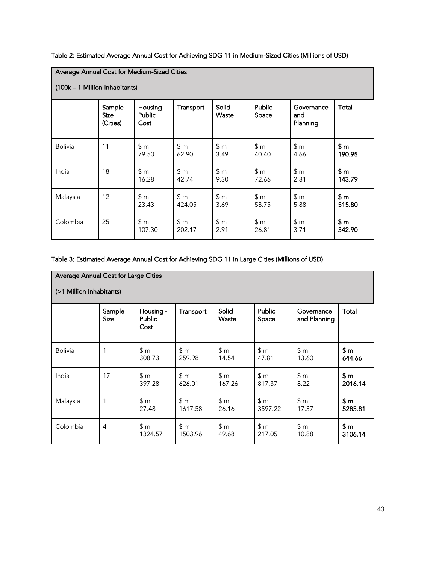Table 2: Estimated Average Annual Cost for Achieving SDG 11 in Medium-Sized Cities (Millions of USD)

| Average Annual Cost for Medium-Sized Cities<br>(100k - 1 Million Inhabitants) |                                   |                             |               |                |                 |                               |                 |  |
|-------------------------------------------------------------------------------|-----------------------------------|-----------------------------|---------------|----------------|-----------------|-------------------------------|-----------------|--|
|                                                                               | Sample<br><b>Size</b><br>(Cities) | Housing -<br>Public<br>Cost | Transport     | Solid<br>Waste | Public<br>Space | Governance<br>and<br>Planning | Total           |  |
| <b>Bolivia</b>                                                                | 11                                | \$m<br>79.50                | \$m<br>62.90  | \$m<br>3.49    | \$m<br>40.40    | \$m<br>4.66                   | \$m<br>190.95   |  |
| India                                                                         | 18                                | \$m<br>16.28                | \$m<br>42.74  | \$m<br>9.30    | \$m<br>72.66    | \$m<br>2.81                   | \$m\$<br>143.79 |  |
| Malaysia                                                                      | 12                                | \$m<br>23.43                | \$m<br>424.05 | \$m<br>3.69    | \$m<br>58.75    | \$m<br>5.88                   | \$ m<br>515.80  |  |
| Colombia                                                                      | 25                                | \$m<br>107.30               | \$m<br>202.17 | \$m<br>2.91    | \$m<br>26.81    | \$m<br>3.71                   | \$m\$<br>342.90 |  |

### Table 3: Estimated Average Annual Cost for Achieving SDG 11 in Large Cities (Millions of USD)

| Average Annual Cost for Large Cities<br>(>1 Million Inhabitants) |                       |                                    |                |                |                 |                            |                 |  |
|------------------------------------------------------------------|-----------------------|------------------------------------|----------------|----------------|-----------------|----------------------------|-----------------|--|
|                                                                  | Sample<br><b>Size</b> | Housing -<br><b>Public</b><br>Cost | Transport      | Solid<br>Waste | Public<br>Space | Governance<br>and Planning | Total           |  |
| <b>Bolivia</b>                                                   | 1                     | \$m<br>308.73                      | \$m<br>259.98  | \$m<br>14.54   | \$m<br>47.81    | \$m<br>13.60               | \$m\$<br>644.66 |  |
| India                                                            | 17                    | \$m<br>397.28                      | \$m<br>626.01  | \$m<br>167.26  | \$m<br>817.37   | \$m<br>8.22                | \$m<br>2016.14  |  |
| Malaysia                                                         | 1                     | \$m<br>27.48                       | \$m<br>1617.58 | \$m<br>26.16   | \$m<br>3597.22  | \$m<br>17.37               | \$ m<br>5285.81 |  |
| Colombia                                                         | 4                     | \$m<br>1324.57                     | \$m<br>1503.96 | \$m<br>49.68   | \$m<br>217.05   | \$m<br>10.88               | \$m<br>3106.14  |  |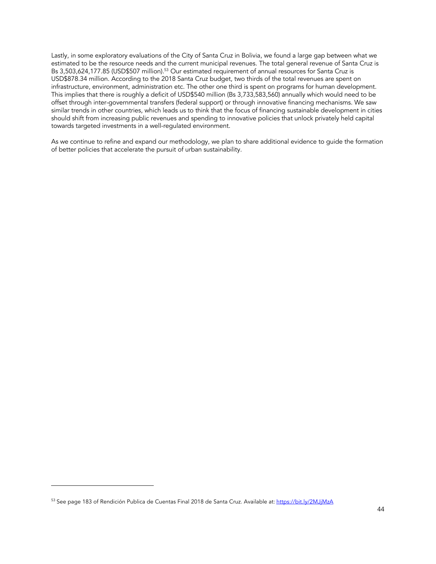Lastly, in some exploratory evaluations of the City of Santa Cruz in Bolivia, we found a large gap between what we estimated to be the resource needs and the current municipal revenues. The total general revenue of Santa Cruz is Bs 3,503,624,177.85 (USD\$507 million).<sup>53</sup> Our estimated requirement of annual resources for Santa Cruz is USD\$878.34 million. According to the 2018 Santa Cruz budget, two thirds of the total revenues are spent on infrastructure, environment, administration etc. The other one third is spent on programs for human development. This implies that there is roughly a deficit of USD\$540 million (Bs 3,733,583,560) annually which would need to be offset through inter-governmental transfers (federal support) or through innovative financing mechanisms. We saw similar trends in other countries, which leads us to think that the focus of financing sustainable development in cities should shift from increasing public revenues and spending to innovative policies that unlock privately held capital towards targeted investments in a well-regulated environment.

As we continue to refine and expand our methodology, we plan to share additional evidence to guide the formation of better policies that accelerate the pursuit of urban sustainability.

<sup>53</sup> See page 183 of Rendición Publica de Cuentas Final 2018 de Santa Cruz. Available at: https://bit.ly/2MJjMzA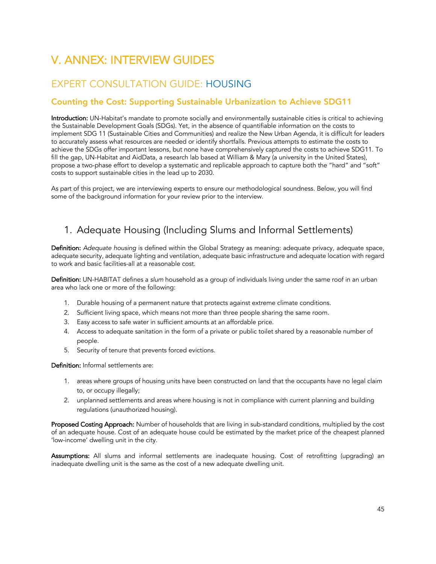# V. ANNEX: INTERVIEW GUIDES

# EXPERT CONSULTATION GUIDE: HOUSING

### Counting the Cost: Supporting Sustainable Urbanization to Achieve SDG11

Introduction: UN-Habitat's mandate to promote socially and environmentally sustainable cities is critical to achieving the Sustainable Development Goals (SDGs). Yet, in the absence of quantifiable information on the costs to implement SDG 11 (Sustainable Cities and Communities) and realize the New Urban Agenda, it is difficult for leaders to accurately assess what resources are needed or identify shortfalls. Previous attempts to estimate the costs to achieve the SDGs offer important lessons, but none have comprehensively captured the costs to achieve SDG11. To fill the gap, UN-Habitat and AidData, a research lab based at William & Mary (a university in the United States), propose a two-phase effort to develop a systematic and replicable approach to capture both the "hard" and "soft" costs to support sustainable cities in the lead up to 2030.

As part of this project, we are interviewing experts to ensure our methodological soundness. Below, you will find some of the background information for your review prior to the interview.

## 1. Adequate Housing (Including Slums and Informal Settlements)

Definition: *Adequate housing* is defined within the Global Strategy as meaning: adequate privacy, adequate space, adequate security, adequate lighting and ventilation, adequate basic infrastructure and adequate location with regard to work and basic facilities-all at a reasonable cost.

Definition: UN-HABITAT defines a *slum* household as a group of individuals living under the same roof in an urban area who lack one or more of the following:

- 1. Durable housing of a permanent nature that protects against extreme climate conditions.
- 2. Sufficient living space, which means not more than three people sharing the same room.
- 3. Easy access to safe water in sufficient amounts at an affordable price.
- 4. Access to adequate sanitation in the form of a private or public toilet shared by a reasonable number of people.
- 5. Security of tenure that prevents forced evictions.

Definition: Informal settlements are:

- 1. areas where groups of housing units have been constructed on land that the occupants have no legal claim to, or occupy illegally;
- 2. unplanned settlements and areas where housing is not in compliance with current planning and building regulations (unauthorized housing).

Proposed Costing Approach: Number of households that are living in sub-standard conditions, multiplied by the cost of an adequate house. Cost of an adequate house could be estimated by the market price of the cheapest planned 'low-income' dwelling unit in the city.

Assumptions: All slums and informal settlements are inadequate housing. Cost of retrofitting (upgrading) an inadequate dwelling unit is the same as the cost of a new adequate dwelling unit.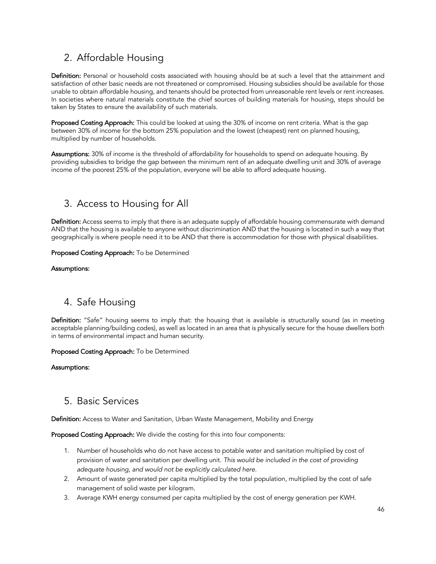# 2. Affordable Housing

Definition: Personal or household costs associated with housing should be at such a level that the attainment and satisfaction of other basic needs are not threatened or compromised. Housing subsidies should be available for those unable to obtain affordable housing, and tenants should be protected from unreasonable rent levels or rent increases. In societies where natural materials constitute the chief sources of building materials for housing, steps should be taken by States to ensure the availability of such materials.

Proposed Costing Approach: This could be looked at using the 30% of income on rent criteria. What is the gap between 30% of income for the bottom 25% population and the lowest (cheapest) rent on planned housing, multiplied by number of households.

Assumptions: 30% of income is the threshold of affordability for households to spend on adequate housing. By providing subsidies to bridge the gap between the minimum rent of an adequate dwelling unit and 30% of average income of the poorest 25% of the population, everyone will be able to afford adequate housing.

## 3. Access to Housing for All

Definition: Access seems to imply that there is an adequate supply of affordable housing commensurate with demand AND that the housing is available to anyone without discrimination AND that the housing is located in such a way that geographically is where people need it to be AND that there is accommodation for those with physical disabilities.

### Proposed Costing Approach: To be Determined

### Assumptions:

## 4. Safe Housing

Definition: "Safe" housing seems to imply that: the housing that is available is structurally sound (as in meeting acceptable planning/building codes), as well as located in an area that is physically secure for the house dwellers both in terms of environmental impact and human security.

### Proposed Costing Approach: To be Determined

### Assumptions:

### 5. Basic Services

Definition: Access to Water and Sanitation, Urban Waste Management, Mobility and Energy

Proposed Costing Approach: We divide the costing for this into four components:

- 1. Number of households who do not have access to potable water and sanitation multiplied by cost of provision of water and sanitation per dwelling unit. *This would be included in the cost of providing adequate housing, and would not be explicitly calculated here.*
- 2. Amount of waste generated per capita multiplied by the total population, multiplied by the cost of safe management of solid waste per kilogram.
- 3. Average KWH energy consumed per capita multiplied by the cost of energy generation per KWH.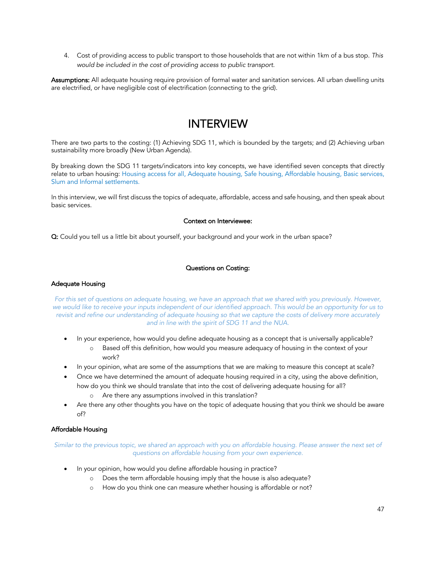4. Cost of providing access to public transport to those households that are not within 1km of a bus stop. *This would be included in the cost of providing access to public transport.* 

Assumptions: All adequate housing require provision of formal water and sanitation services. All urban dwelling units are electrified, or have negligible cost of electrification (connecting to the grid).

# INTERVIEW

There are two parts to the costing: (1) Achieving SDG 11, which is bounded by the targets; and (2) Achieving urban sustainability more broadly (New Urban Agenda).

By breaking down the SDG 11 targets/indicators into key concepts, we have identified seven concepts that directly relate to urban housing: Housing access for all, Adequate housing, Safe housing, Affordable housing, Basic services, Slum and Informal settlements.

In this interview, we will first discuss the topics of adequate, affordable, access and safe housing, and then speak about basic services.

### Context on Interviewee:

Q: Could you tell us a little bit about yourself, your background and your work in the urban space?

### Questions on Costing:

### Adequate Housing

*For this set of questions on adequate housing, we have an approach that we shared with you previously. However,*  we would like to receive your inputs independent of our identified approach. This would be an opportunity for us to *revisit and refine our understanding of adequate housing so that we capture the costs of delivery more accurately and in line with the spirit of SDG 11 and the NUA.*

- In your experience, how would you define adequate housing as a concept that is universally applicable?
	- o Based off this definition, how would you measure adequacy of housing in the context of your work?
- In your opinion, what are some of the assumptions that we are making to measure this concept at scale?
- Once we have determined the amount of adequate housing required in a city, using the above definition, how do you think we should translate that into the cost of delivering adequate housing for all?
	- o Are there any assumptions involved in this translation?
- Are there any other thoughts you have on the topic of adequate housing that you think we should be aware of?

### Affordable Housing

*Similar to the previous topic, we shared an approach with you on affordable housing. Please answer the next set of questions on affordable housing from your own experience.*

- In your opinion, how would you define affordable housing in practice?
	- o Does the term affordable housing imply that the house is also adequate?
	- o How do you think one can measure whether housing is affordable or not?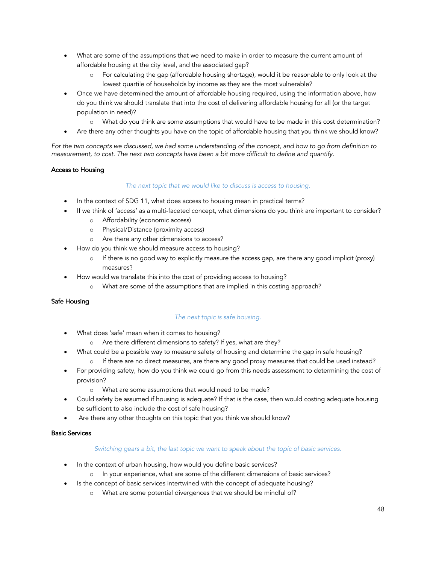- What are some of the assumptions that we need to make in order to measure the current amount of affordable housing at the city level, and the associated gap?
	- o For calculating the gap (affordable housing shortage), would it be reasonable to only look at the lowest quartile of households by income as they are the most vulnerable?
- Once we have determined the amount of affordable housing required, using the information above, how do you think we should translate that into the cost of delivering affordable housing for all (or the target population in need)?
	- o What do you think are some assumptions that would have to be made in this cost determination?
- Are there any other thoughts you have on the topic of affordable housing that you think we should know?

*For the two concepts we discussed, we had some understanding of the concept, and how to go from definition to measurement, to cost. The next two concepts have been a bit more difficult to define and quantify.* 

### Access to Housing

### *The next topic that we would like to discuss is access to housing.*

- In the context of SDG 11, what does access to housing mean in practical terms?
- If we think of 'access' as a multi-faceted concept, what dimensions do you think are important to consider?
	- o Affordability (economic access)
	- o Physical/Distance (proximity access)
	- o Are there any other dimensions to access?
- How do you think we should measure access to housing?
	- o If there is no good way to explicitly measure the access gap, are there any good implicit (proxy) measures?
- How would we translate this into the cost of providing access to housing?
	- o What are some of the assumptions that are implied in this costing approach?

### Safe Housing

### *The next topic is safe housing.*

- What does 'safe' mean when it comes to housing?
	- o Are there different dimensions to safety? If yes, what are they?
- What could be a possible way to measure safety of housing and determine the gap in safe housing?
	- o If there are no direct measures, are there any good proxy measures that could be used instead?
- For providing safety, how do you think we could go from this needs assessment to determining the cost of provision?
	- o What are some assumptions that would need to be made?
- Could safety be assumed if housing is adequate? If that is the case, then would costing adequate housing be sufficient to also include the cost of safe housing?
- Are there any other thoughts on this topic that you think we should know?

### Basic Services

#### *Switching gears a bit, the last topic we want to speak about the topic of basic services.*

- In the context of urban housing, how would you define basic services?
	- o In your experience, what are some of the different dimensions of basic services?
- Is the concept of basic services intertwined with the concept of adequate housing?
	- o What are some potential divergences that we should be mindful of?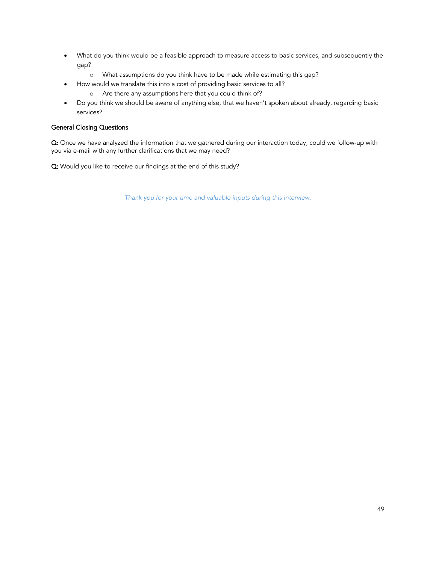- What do you think would be a feasible approach to measure access to basic services, and subsequently the gap?
	- o What assumptions do you think have to be made while estimating this gap?
- How would we translate this into a cost of providing basic services to all?
	- o Are there any assumptions here that you could think of?
- Do you think we should be aware of anything else, that we haven't spoken about already, regarding basic services?

### General Closing Questions

Q: Once we have analyzed the information that we gathered during our interaction today, could we follow-up with you via e-mail with any further clarifications that we may need?

Q: Would you like to receive our findings at the end of this study?

*Thank you for your time and valuable inputs during this interview.*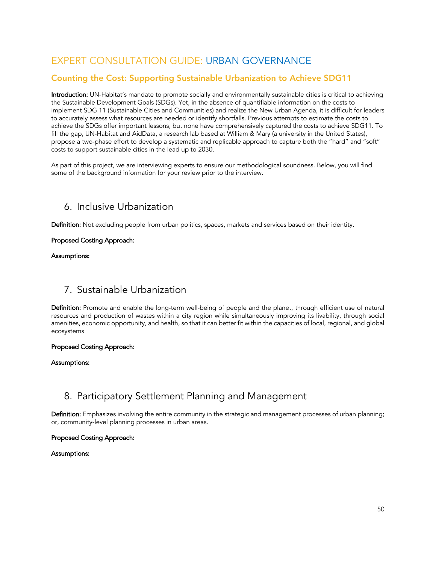# EXPERT CONSULTATION GUIDE: URBAN GOVERNANCE

### Counting the Cost: Supporting Sustainable Urbanization to Achieve SDG11

Introduction: UN-Habitat's mandate to promote socially and environmentally sustainable cities is critical to achieving the Sustainable Development Goals (SDGs). Yet, in the absence of quantifiable information on the costs to implement SDG 11 (Sustainable Cities and Communities) and realize the New Urban Agenda, it is difficult for leaders to accurately assess what resources are needed or identify shortfalls. Previous attempts to estimate the costs to achieve the SDGs offer important lessons, but none have comprehensively captured the costs to achieve SDG11. To fill the gap, UN-Habitat and AidData, a research lab based at William & Mary (a university in the United States), propose a two-phase effort to develop a systematic and replicable approach to capture both the "hard" and "soft" costs to support sustainable cities in the lead up to 2030.

As part of this project, we are interviewing experts to ensure our methodological soundness. Below, you will find some of the background information for your review prior to the interview.

## 6. Inclusive Urbanization

Definition: Not excluding people from urban politics, spaces, markets and services based on their identity.

### Proposed Costing Approach:

### Assumptions:

### 7. Sustainable Urbanization

Definition: Promote and enable the long-term well-being of people and the planet, through efficient use of natural resources and production of wastes within a city region while simultaneously improving its livability, through social amenities, economic opportunity, and health, so that it can better fit within the capacities of local, regional, and global ecosystems

### Proposed Costing Approach:

### Assumptions:

## 8. Participatory Settlement Planning and Management

Definition: Emphasizes involving the entire community in the strategic and management processes of urban planning; or, community-level planning processes in urban areas.

### Proposed Costing Approach:

### Assumptions: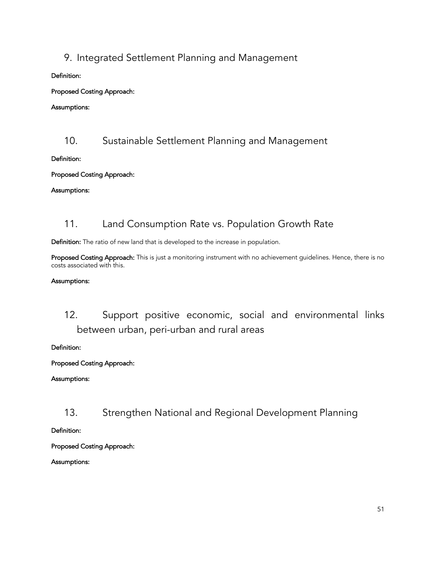# 9. Integrated Settlement Planning and Management

### Definition:

Proposed Costing Approach:

### Assumptions:

## 10. Sustainable Settlement Planning and Management

### Definition:

### Proposed Costing Approach:

### Assumptions:

# 11. Land Consumption Rate vs. Population Growth Rate

Definition: The ratio of new land that is developed to the increase in population.

Proposed Costing Approach: This is just a monitoring instrument with no achievement guidelines. Hence, there is no costs associated with this.

### Assumptions:

# 12. Support positive economic, social and environmental links between urban, peri-urban and rural areas

Definition:

### Proposed Costing Approach:

### Assumptions:

13. Strengthen National and Regional Development Planning

Definition:

Proposed Costing Approach:

Assumptions: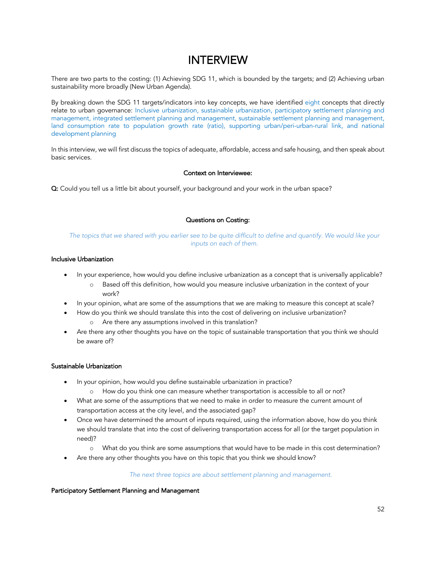# INTERVIEW

There are two parts to the costing: (1) Achieving SDG 11, which is bounded by the targets; and (2) Achieving urban sustainability more broadly (New Urban Agenda).

By breaking down the SDG 11 targets/indicators into key concepts, we have identified eight concepts that directly relate to urban governance: Inclusive urbanization, sustainable urbanization, participatory settlement planning and management, integrated settlement planning and management, sustainable settlement planning and management, land consumption rate to population growth rate (ratio), supporting urban/peri-urban-rural link, and national development planning

In this interview, we will first discuss the topics of adequate, affordable, access and safe housing, and then speak about basic services.

### Context on Interviewee:

Q: Could you tell us a little bit about yourself, your background and your work in the urban space?

### Questions on Costing:

The topics that we shared with you earlier see to be quite difficult to define and quantify. We would like your *inputs on each of them.* 

### Inclusive Urbanization

- In your experience, how would you define inclusive urbanization as a concept that is universally applicable?
	- o Based off this definition, how would you measure inclusive urbanization in the context of your work?
- In your opinion, what are some of the assumptions that we are making to measure this concept at scale?
- How do you think we should translate this into the cost of delivering on inclusive urbanization?
	- o Are there any assumptions involved in this translation?
- Are there any other thoughts you have on the topic of sustainable transportation that you think we should be aware of?

### Sustainable Urbanization

- In your opinion, how would you define sustainable urbanization in practice?
	- o How do you think one can measure whether transportation is accessible to all or not?
- What are some of the assumptions that we need to make in order to measure the current amount of transportation access at the city level, and the associated gap?
- Once we have determined the amount of inputs required, using the information above, how do you think we should translate that into the cost of delivering transportation access for all (or the target population in need)?
	- o What do you think are some assumptions that would have to be made in this cost determination?
- Are there any other thoughts you have on this topic that you think we should know?

*The next three topics are about settlement planning and management.*

#### Participatory Settlement Planning and Management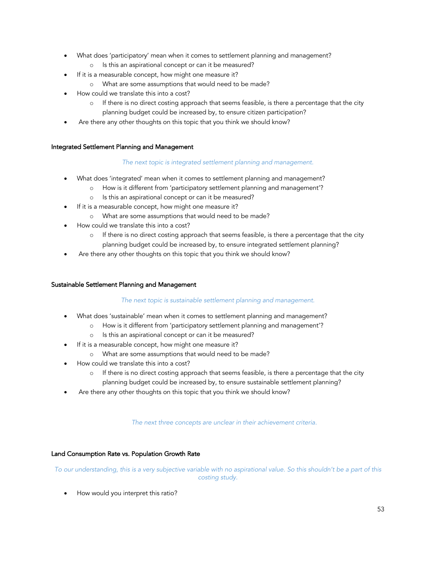- What does 'participatory' mean when it comes to settlement planning and management?
	- o Is this an aspirational concept or can it be measured?
- If it is a measurable concept, how might one measure it?
	- o What are some assumptions that would need to be made?
- How could we translate this into a cost?
	- $\circ$  If there is no direct costing approach that seems feasible, is there a percentage that the city planning budget could be increased by, to ensure citizen participation?
- Are there any other thoughts on this topic that you think we should know?

### Integrated Settlement Planning and Management

### *The next topic is integrated settlement planning and management.*

- What does 'integrated' mean when it comes to settlement planning and management?
	- o How is it different from 'participatory settlement planning and management'?
	- o Is this an aspirational concept or can it be measured?
- If it is a measurable concept, how might one measure it?
	- o What are some assumptions that would need to be made?
- How could we translate this into a cost?
	- o If there is no direct costing approach that seems feasible, is there a percentage that the city planning budget could be increased by, to ensure integrated settlement planning?
- Are there any other thoughts on this topic that you think we should know?

### Sustainable Settlement Planning and Management

### *The next topic is sustainable settlement planning and management.*

- What does 'sustainable' mean when it comes to settlement planning and management?
	- o How is it different from 'participatory settlement planning and management'?
		- o Is this an aspirational concept or can it be measured?
- If it is a measurable concept, how might one measure it?
	- o What are some assumptions that would need to be made?
- How could we translate this into a cost?
	- $\circ$  If there is no direct costing approach that seems feasible, is there a percentage that the city planning budget could be increased by, to ensure sustainable settlement planning?
- Are there any other thoughts on this topic that you think we should know?

#### *The next three concepts are unclear in their achievement criteria.*

### Land Consumption Rate vs. Population Growth Rate

*To our understanding, this is a very subjective variable with no aspirational value. So this shouldn't be a part of this costing study.*

How would you interpret this ratio?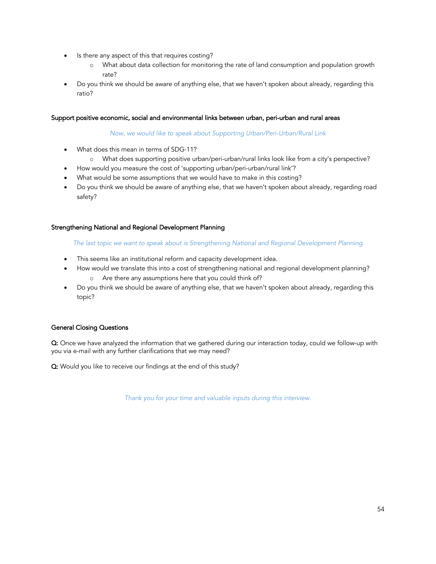- Is there any aspect of this that requires costing?
	- o What about data collection for monitoring the rate of land consumption and population growth rate?
- Do you think we should be aware of anything else, that we haven't spoken about already, regarding this ratio?

### Support positive economic, social and environmental links between urban, peri-urban and rural areas

### *Now, we would like to speak about Supporting Urban/Peri-Urban/Rural Link*

- What does this mean in terms of SDG-11?
	- o What does supporting positive urban/peri-urban/rural links look like from a city's perspective?
- How would you measure the cost of 'supporting urban/peri-urban/rural link'?
- What would be some assumptions that we would have to make in this costing?
- Do you think we should be aware of anything else, that we haven't spoken about already, regarding road safety?

### Strengthening National and Regional Development Planning

*The last topic we want to speak about is Strengthening National and Regional Development Planning*

- This seems like an institutional reform and capacity development idea.
- How would we translate this into a cost of strengthening national and regional development planning? o Are there any assumptions here that you could think of?
- Do you think we should be aware of anything else, that we haven't spoken about already, regarding this topic?

### General Closing Questions

Q: Once we have analyzed the information that we gathered during our interaction today, could we follow-up with you via e-mail with any further clarifications that we may need?

Q: Would you like to receive our findings at the end of this study?

*Thank you for your time and valuable inputs during this interview.*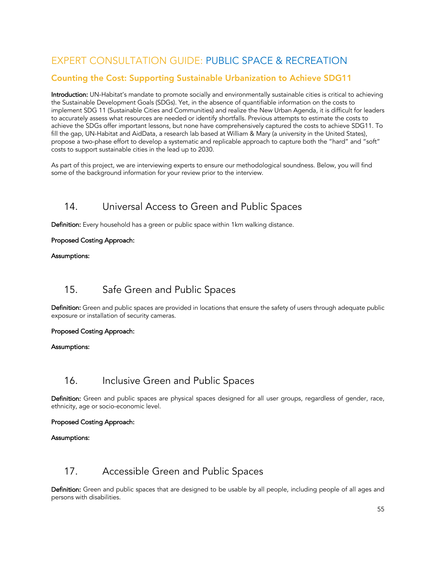# EXPERT CONSULTATION GUIDE: PUBLIC SPACE & RECREATION

### Counting the Cost: Supporting Sustainable Urbanization to Achieve SDG11

Introduction: UN-Habitat's mandate to promote socially and environmentally sustainable cities is critical to achieving the Sustainable Development Goals (SDGs). Yet, in the absence of quantifiable information on the costs to implement SDG 11 (Sustainable Cities and Communities) and realize the New Urban Agenda, it is difficult for leaders to accurately assess what resources are needed or identify shortfalls. Previous attempts to estimate the costs to achieve the SDGs offer important lessons, but none have comprehensively captured the costs to achieve SDG11. To fill the gap, UN-Habitat and AidData, a research lab based at William & Mary (a university in the United States), propose a two-phase effort to develop a systematic and replicable approach to capture both the "hard" and "soft" costs to support sustainable cities in the lead up to 2030.

As part of this project, we are interviewing experts to ensure our methodological soundness. Below, you will find some of the background information for your review prior to the interview.

## 14. Universal Access to Green and Public Spaces

Definition: Every household has a green or public space within 1km walking distance.

### Proposed Costing Approach:

### Assumptions:

## 15. Safe Green and Public Spaces

Definition: Green and public spaces are provided in locations that ensure the safety of users through adequate public exposure or installation of security cameras.

### Proposed Costing Approach:

### Assumptions:

## 16. Inclusive Green and Public Spaces

Definition: Green and public spaces are physical spaces designed for all user groups, regardless of gender, race, ethnicity, age or socio-economic level.

### Proposed Costing Approach:

### Assumptions:

### 17. Accessible Green and Public Spaces

Definition: Green and public spaces that are designed to be usable by all people, including people of all ages and persons with disabilities.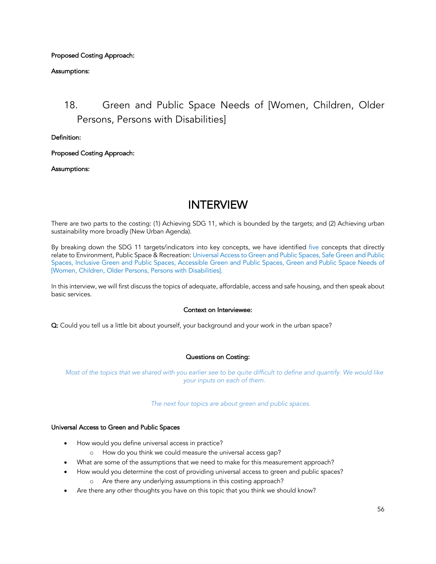### Proposed Costing Approach:

### Assumptions:

# 18. Green and Public Space Needs of [Women, Children, Older Persons, Persons with Disabilities]

Definition:

Proposed Costing Approach:

Assumptions:

# INTERVIEW

There are two parts to the costing: (1) Achieving SDG 11, which is bounded by the targets; and (2) Achieving urban sustainability more broadly (New Urban Agenda).

By breaking down the SDG 11 targets/indicators into key concepts, we have identified five concepts that directly relate to Environment, Public Space & Recreation: Universal Access to Green and Public Spaces, Safe Green and Public Spaces, Inclusive Green and Public Spaces, Accessible Green and Public Spaces, Green and Public Space Needs of [Women, Children, Older Persons, Persons with Disabilities].

In this interview, we will first discuss the topics of adequate, affordable, access and safe housing, and then speak about basic services.

### Context on Interviewee:

Q: Could you tell us a little bit about yourself, your background and your work in the urban space?

### Questions on Costing:

*Most of the topics that we shared with you earlier see to be quite difficult to define and quantify. We would like your inputs on each of them.* 

*The next four topics are about green and public spaces.*

#### Universal Access to Green and Public Spaces

- How would you define universal access in practice?
	- o How do you think we could measure the universal access gap?
- What are some of the assumptions that we need to make for this measurement approach?
- How would you determine the cost of providing universal access to green and public spaces?
	- o Are there any underlying assumptions in this costing approach?
- Are there any other thoughts you have on this topic that you think we should know?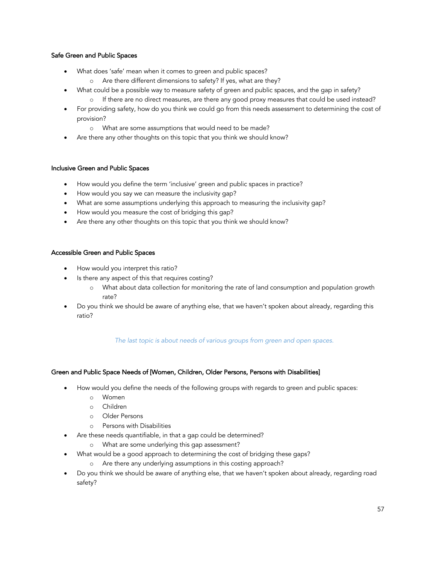### Safe Green and Public Spaces

- What does 'safe' mean when it comes to green and public spaces?
	- o Are there different dimensions to safety? If yes, what are they?
	- What could be a possible way to measure safety of green and public spaces, and the gap in safety?
		- o If there are no direct measures, are there any good proxy measures that could be used instead?
- For providing safety, how do you think we could go from this needs assessment to determining the cost of provision?
	- o What are some assumptions that would need to be made?
- Are there any other thoughts on this topic that you think we should know?

### Inclusive Green and Public Spaces

- How would you define the term 'inclusive' green and public spaces in practice?
- How would you say we can measure the inclusivity gap?
- What are some assumptions underlying this approach to measuring the inclusivity gap?
- How would you measure the cost of bridging this gap?
- Are there any other thoughts on this topic that you think we should know?

### Accessible Green and Public Spaces

- How would you interpret this ratio?
- Is there any aspect of this that requires costing?
	- o What about data collection for monitoring the rate of land consumption and population growth rate?
- Do you think we should be aware of anything else, that we haven't spoken about already, regarding this ratio?

### *The last topic is about needs of various groups from green and open spaces.*

### Green and Public Space Needs of [Women, Children, Older Persons, Persons with Disabilities]

- How would you define the needs of the following groups with regards to green and public spaces:
	- o Women
	- o Children
	- o Older Persons
	- o Persons with Disabilities
- Are these needs quantifiable, in that a gap could be determined?
	- o What are some underlying this gap assessment?
- What would be a good approach to determining the cost of bridging these gaps?
	- o Are there any underlying assumptions in this costing approach?
- Do you think we should be aware of anything else, that we haven't spoken about already, regarding road safety?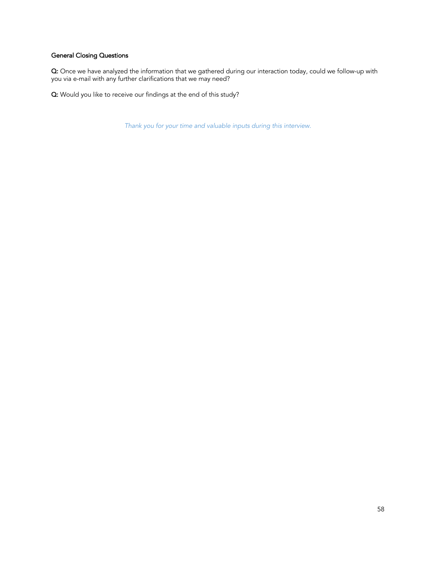### General Closing Questions

Q: Once we have analyzed the information that we gathered during our interaction today, could we follow-up with you via e-mail with any further clarifications that we may need?

Q: Would you like to receive our findings at the end of this study?

*Thank you for your time and valuable inputs during this interview.*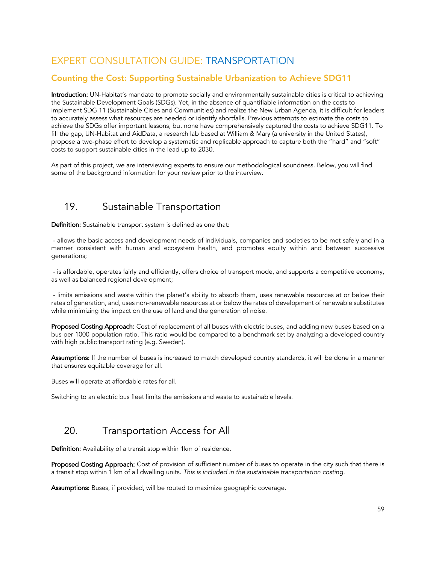# EXPERT CONSULTATION GUIDE: TRANSPORTATION

### Counting the Cost: Supporting Sustainable Urbanization to Achieve SDG11

Introduction: UN-Habitat's mandate to promote socially and environmentally sustainable cities is critical to achieving the Sustainable Development Goals (SDGs). Yet, in the absence of quantifiable information on the costs to implement SDG 11 (Sustainable Cities and Communities) and realize the New Urban Agenda, it is difficult for leaders to accurately assess what resources are needed or identify shortfalls. Previous attempts to estimate the costs to achieve the SDGs offer important lessons, but none have comprehensively captured the costs to achieve SDG11. To fill the gap, UN-Habitat and AidData, a research lab based at William & Mary (a university in the United States), propose a two-phase effort to develop a systematic and replicable approach to capture both the "hard" and "soft" costs to support sustainable cities in the lead up to 2030.

As part of this project, we are interviewing experts to ensure our methodological soundness. Below, you will find some of the background information for your review prior to the interview.

## 19. Sustainable Transportation

Definition: Sustainable transport system is defined as one that:

- allows the basic access and development needs of individuals, companies and societies to be met safely and in a manner consistent with human and ecosystem health, and promotes equity within and between successive generations;

- is affordable, operates fairly and efficiently, offers choice of transport mode, and supports a competitive economy, as well as balanced regional development;

- limits emissions and waste within the planet's ability to absorb them, uses renewable resources at or below their rates of generation, and, uses non-renewable resources at or below the rates of development of renewable substitutes while minimizing the impact on the use of land and the generation of noise.

Proposed Costing Approach: Cost of replacement of all buses with electric buses, and adding new buses based on a bus per 1000 population ratio. This ratio would be compared to a benchmark set by analyzing a developed country with high public transport rating (e.g. Sweden).

Assumptions: If the number of buses is increased to match developed country standards, it will be done in a manner that ensures equitable coverage for all.

Buses will operate at affordable rates for all.

Switching to an electric bus fleet limits the emissions and waste to sustainable levels.

## 20. Transportation Access for All

Definition: Availability of a transit stop within 1km of residence.

Proposed Costing Approach: Cost of provision of sufficient number of buses to operate in the city such that there is a transit stop within 1 km of all dwelling units. *This is included in the sustainable transportation costing.*

Assumptions: Buses, if provided, will be routed to maximize geographic coverage.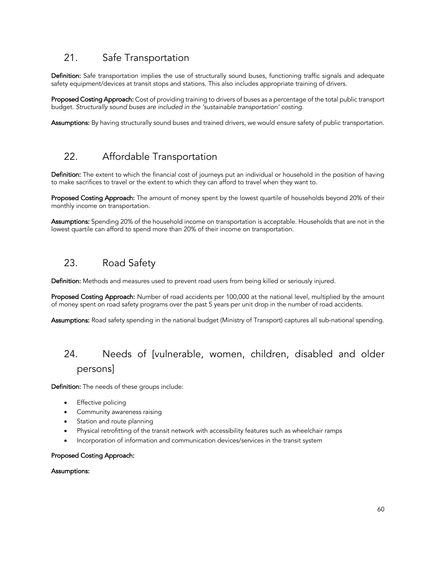## 21. Safe Transportation

Definition: Safe transportation implies the use of structurally sound buses, functioning traffic signals and adequate safety equipment/devices at transit stops and stations. This also includes appropriate training of drivers.

Proposed Costing Approach: Cost of providing training to drivers of buses as a percentage of the total public transport budget. *Structurally sound buses are included in the 'sustainable transportation' costing.* 

Assumptions: By having structurally sound buses and trained drivers, we would ensure safety of public transportation.

### 22. Affordable Transportation

Definition: The extent to which the financial cost of journeys put an individual or household in the position of having to make sacrifices to travel or the extent to which they can afford to travel when they want to.

Proposed Costing Approach: The amount of money spent by the lowest quartile of households beyond 20% of their monthly income on transportation.

Assumptions: Spending 20% of the household income on transportation is acceptable. Households that are not in the lowest quartile can afford to spend more than 20% of their income on transportation.

### 23. Road Safety

Definition: Methods and measures used to prevent road users from being killed or seriously injured.

Proposed Costing Approach: Number of road accidents per 100,000 at the national level, multiplied by the amount of money spent on road safety programs over the past 5 years per unit drop in the number of road accidents.

Assumptions: Road safety spending in the national budget (Ministry of Transport) captures all sub-national spending.

# 24. Needs of [vulnerable, women, children, disabled and older persons]

Definition: The needs of these groups include:

- **Effective policing**
- Community awareness raising
- Station and route planning
- Physical retrofitting of the transit network with accessibility features such as wheelchair ramps
- Incorporation of information and communication devices/services in the transit system

### Proposed Costing Approach:

#### Assumptions: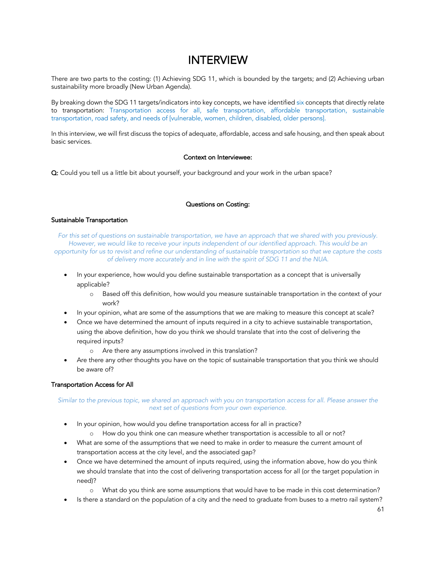# INTERVIEW

There are two parts to the costing: (1) Achieving SDG 11, which is bounded by the targets; and (2) Achieving urban sustainability more broadly (New Urban Agenda).

By breaking down the SDG 11 targets/indicators into key concepts, we have identified six concepts that directly relate to transportation: Transportation access for all, safe transportation, affordable transportation, sustainable transportation, road safety, and needs of [vulnerable, women, children, disabled, older persons].

In this interview, we will first discuss the topics of adequate, affordable, access and safe housing, and then speak about basic services.

### Context on Interviewee:

Q: Could you tell us a little bit about yourself, your background and your work in the urban space?

### Questions on Costing:

#### Sustainable Transportation

*For this set of questions on sustainable transportation, we have an approach that we shared with you previously.*  However, we would like to receive your inputs independent of our identified approach. This would be an *opportunity for us to revisit and refine our understanding of sustainable transportation so that we capture the costs of delivery more accurately and in line with the spirit of SDG 11 and the NUA.*

- In your experience, how would you define sustainable transportation as a concept that is universally applicable?
	- o Based off this definition, how would you measure sustainable transportation in the context of your work?
- In your opinion, what are some of the assumptions that we are making to measure this concept at scale?
- Once we have determined the amount of inputs required in a city to achieve sustainable transportation, using the above definition, how do you think we should translate that into the cost of delivering the required inputs?
	- o Are there any assumptions involved in this translation?
- Are there any other thoughts you have on the topic of sustainable transportation that you think we should be aware of?

### Transportation Access for All

### *Similar to the previous topic, we shared an approach with you on transportation access for all. Please answer the next set of questions from your own experience.*

- In your opinion, how would you define transportation access for all in practice?
	- o How do you think one can measure whether transportation is accessible to all or not?
- What are some of the assumptions that we need to make in order to measure the current amount of transportation access at the city level, and the associated gap?
- Once we have determined the amount of inputs required, using the information above, how do you think we should translate that into the cost of delivering transportation access for all (or the target population in need)?
	- o What do you think are some assumptions that would have to be made in this cost determination?
- Is there a standard on the population of a city and the need to graduate from buses to a metro rail system?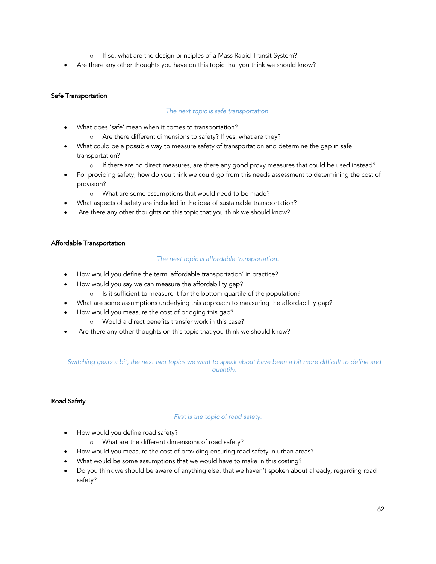- o If so, what are the design principles of a Mass Rapid Transit System?
- Are there any other thoughts you have on this topic that you think we should know?

### Safe Transportation

### *The next topic is safe transportation.*

- What does 'safe' mean when it comes to transportation?
	- o Are there different dimensions to safety? If yes, what are they?
- What could be a possible way to measure safety of transportation and determine the gap in safe transportation?
	- o If there are no direct measures, are there any good proxy measures that could be used instead?
- For providing safety, how do you think we could go from this needs assessment to determining the cost of provision?
	- o What are some assumptions that would need to be made?
- What aspects of safety are included in the idea of sustainable transportation?
- Are there any other thoughts on this topic that you think we should know?

### Affordable Transportation

### *The next topic is affordable transportation.*

- How would you define the term 'affordable transportation' in practice?
- How would you say we can measure the affordability gap?
	- o Is it sufficient to measure it for the bottom quartile of the population?
	- What are some assumptions underlying this approach to measuring the affordability gap?
- How would you measure the cost of bridging this gap?
	- o Would a direct benefits transfer work in this case?
- Are there any other thoughts on this topic that you think we should know?

### *Switching gears a bit, the next two topics we want to speak about have been a bit more difficult to define and quantify.*

### Road Safety

#### *First is the topic of road safety.*

- How would you define road safety?
	- o What are the different dimensions of road safety?
- How would you measure the cost of providing ensuring road safety in urban areas?
- What would be some assumptions that we would have to make in this costing?
- Do you think we should be aware of anything else, that we haven't spoken about already, regarding road safety?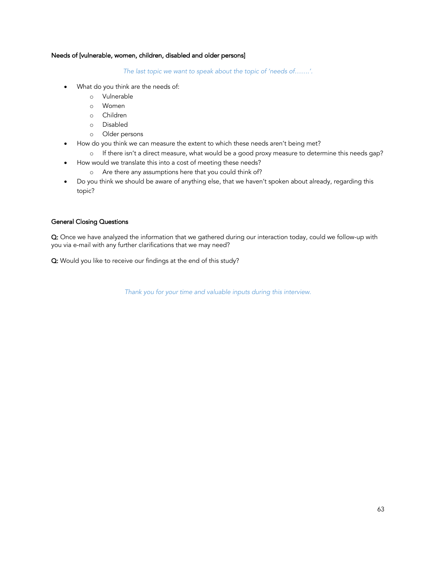### Needs of [vulnerable, women, children, disabled and older persons]

*The last topic we want to speak about the topic of 'needs of…….'.*

- What do you think are the needs of:
	- o Vulnerable
	- o Women
	- o Children
	- o Disabled
	- o Older persons
- How do you think we can measure the extent to which these needs aren't being met?
	- o If there isn't a direct measure, what would be a good proxy measure to determine this needs gap?
	- How would we translate this into a cost of meeting these needs?
		- o Are there any assumptions here that you could think of?
- Do you think we should be aware of anything else, that we haven't spoken about already, regarding this topic?

### General Closing Questions

Q: Once we have analyzed the information that we gathered during our interaction today, could we follow-up with you via e-mail with any further clarifications that we may need?

Q: Would you like to receive our findings at the end of this study?

*Thank you for your time and valuable inputs during this interview.*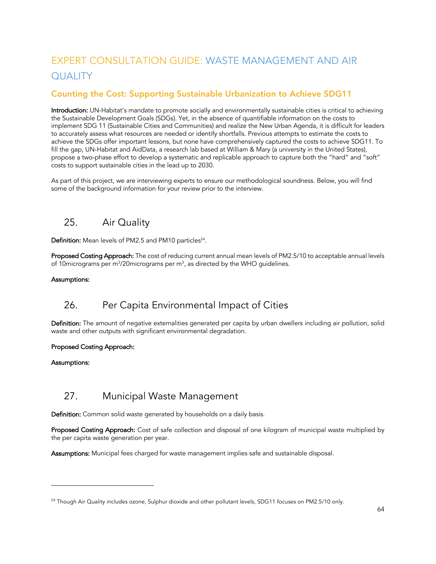# EXPERT CONSULTATION GUIDE: WASTE MANAGEMENT AND AIR **QUALITY**

### Counting the Cost: Supporting Sustainable Urbanization to Achieve SDG11

Introduction: UN-Habitat's mandate to promote socially and environmentally sustainable cities is critical to achieving the Sustainable Development Goals (SDGs). Yet, in the absence of quantifiable information on the costs to implement SDG 11 (Sustainable Cities and Communities) and realize the New Urban Agenda, it is difficult for leaders to accurately assess what resources are needed or identify shortfalls. Previous attempts to estimate the costs to achieve the SDGs offer important lessons, but none have comprehensively captured the costs to achieve SDG11. To fill the gap, UN-Habitat and AidData, a research lab based at William & Mary (a university in the United States), propose a two-phase effort to develop a systematic and replicable approach to capture both the "hard" and "soft" costs to support sustainable cities in the lead up to 2030.

As part of this project, we are interviewing experts to ensure our methodological soundness. Below, you will find some of the background information for your review prior to the interview.

## 25. Air Quality

Definition: Mean levels of PM2.5 and PM10 particles<sup>54</sup>.

Proposed Costing Approach: The cost of reducing current annual mean levels of PM2.5/10 to acceptable annual levels of 10 micrograms per m<sup>3</sup>/20 micrograms per m<sup>3</sup>, as directed by the WHO guidelines.

### Assumptions:

## 26. Per Capita Environmental Impact of Cities

Definition: The amount of negative externalities generated per capita by urban dwellers including air pollution, solid waste and other outputs with significant environmental degradation.

### Proposed Costing Approach:

### Assumptions:

## 27. Municipal Waste Management

Definition: Common solid waste generated by households on a daily basis.

Proposed Costing Approach: Cost of safe collection and disposal of one kilogram of municipal waste multiplied by the per capita waste generation per year.

Assumptions: Municipal fees charged for waste management implies safe and sustainable disposal.

<sup>54</sup> Though Air Quality includes ozone, Sulphur dioxide and other pollutant levels, SDG11 focuses on PM2.5/10 only.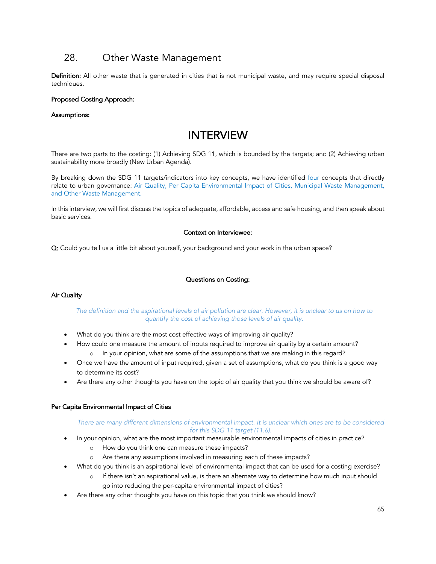## 28. Other Waste Management

Definition: All other waste that is generated in cities that is not municipal waste, and may require special disposal techniques.

### Proposed Costing Approach:

#### Assumptions:

# INTERVIEW

There are two parts to the costing: (1) Achieving SDG 11, which is bounded by the targets; and (2) Achieving urban sustainability more broadly (New Urban Agenda).

By breaking down the SDG 11 targets/indicators into key concepts, we have identified four concepts that directly relate to urban governance: Air Quality, Per Capita Environmental Impact of Cities, Municipal Waste Management, and Other Waste Management.

In this interview, we will first discuss the topics of adequate, affordable, access and safe housing, and then speak about basic services.

### Context on Interviewee:

Q: Could you tell us a little bit about yourself, your background and your work in the urban space?

### Questions on Costing:

#### Air Quality

### The definition and the aspirational levels of air pollution are clear. However, it is unclear to us on how to *quantify the cost of achieving those levels of air quality.*

- What do you think are the most cost effective ways of improving air quality?
- How could one measure the amount of inputs required to improve air quality by a certain amount?
	- o In your opinion, what are some of the assumptions that we are making in this regard?
- Once we have the amount of input required, given a set of assumptions, what do you think is a good way to determine its cost?
- Are there any other thoughts you have on the topic of air quality that you think we should be aware of?

#### Per Capita Environmental Impact of Cities

#### *There are many different dimensions of environmental impact. It is unclear which ones are to be considered for this SDG 11 target (11.6).*

- In your opinion, what are the most important measurable environmental impacts of cities in practice?
	- o How do you think one can measure these impacts?
	- o Are there any assumptions involved in measuring each of these impacts?
- What do you think is an aspirational level of environmental impact that can be used for a costing exercise?
	- o If there isn't an aspirational value, is there an alternate way to determine how much input should go into reducing the per-capita environmental impact of cities?
- Are there any other thoughts you have on this topic that you think we should know?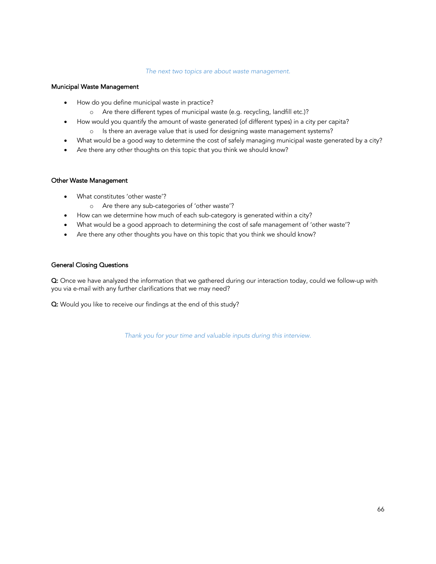#### *The next two topics are about waste management.*

#### Municipal Waste Management

- How do you define municipal waste in practice?
	- o Are there different types of municipal waste (e.g. recycling, landfill etc.)?
- How would you quantify the amount of waste generated (of different types) in a city per capita?
	- o Is there an average value that is used for designing waste management systems?
- What would be a good way to determine the cost of safely managing municipal waste generated by a city?
- Are there any other thoughts on this topic that you think we should know?

#### Other Waste Management

- What constitutes 'other waste'?
	- o Are there any sub-categories of 'other waste'?
- How can we determine how much of each sub-category is generated within a city?
- What would be a good approach to determining the cost of safe management of 'other waste'?
- Are there any other thoughts you have on this topic that you think we should know?

### General Closing Questions

Q: Once we have analyzed the information that we gathered during our interaction today, could we follow-up with you via e-mail with any further clarifications that we may need?

Q: Would you like to receive our findings at the end of this study?

*Thank you for your time and valuable inputs during this interview.*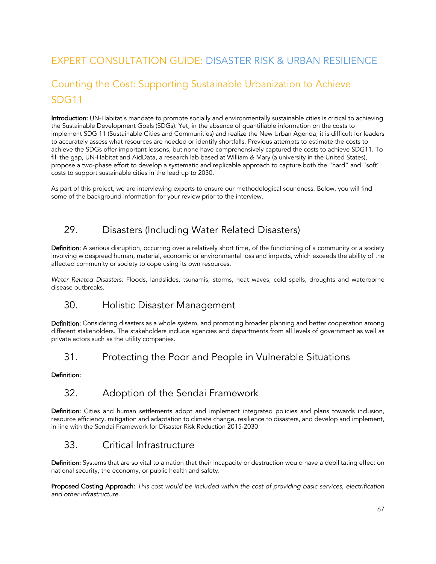# EXPERT CONSULTATION GUIDE: DISASTER RISK & URBAN RESILIENCE

# Counting the Cost: Supporting Sustainable Urbanization to Achieve SDG11

Introduction: UN-Habitat's mandate to promote socially and environmentally sustainable cities is critical to achieving the Sustainable Development Goals (SDGs). Yet, in the absence of quantifiable information on the costs to implement SDG 11 (Sustainable Cities and Communities) and realize the New Urban Agenda, it is difficult for leaders to accurately assess what resources are needed or identify shortfalls. Previous attempts to estimate the costs to achieve the SDGs offer important lessons, but none have comprehensively captured the costs to achieve SDG11. To fill the gap, UN-Habitat and AidData, a research lab based at William & Mary (a university in the United States), propose a two-phase effort to develop a systematic and replicable approach to capture both the "hard" and "soft" costs to support sustainable cities in the lead up to 2030.

As part of this project, we are interviewing experts to ensure our methodological soundness. Below, you will find some of the background information for your review prior to the interview.

## 29. Disasters (Including Water Related Disasters)

Definition: A serious disruption, occurring over a relatively short time, of the functioning of a community or a society involving widespread human, material, economic or environmental loss and impacts, which exceeds the ability of the affected community or society to cope using its own resources.

*Water Related Disasters:* Floods, landslides, tsunamis, storms, heat waves, cold spells, droughts and waterborne disease outbreaks.

### 30. Holistic Disaster Management

Definition: Considering disasters as a whole system, and promoting broader planning and better cooperation among different stakeholders. The stakeholders include agencies and departments from all levels of government as well as private actors such as the utility companies.

### 31. Protecting the Poor and People in Vulnerable Situations

### Definition:

## 32. Adoption of the Sendai Framework

Definition: Cities and human settlements adopt and implement integrated policies and plans towards inclusion, resource efficiency, mitigation and adaptation to climate change, resilience to disasters, and develop and implement, in line with the Sendai Framework for Disaster Risk Reduction 2015-2030

## 33. Critical Infrastructure

Definition: Systems that are so vital to a nation that their incapacity or destruction would have a debilitating effect on national security, the economy, or public health and safety.

Proposed Costing Approach: *This cost would be included within the cost of providing basic services, electrification and other infrastructure.*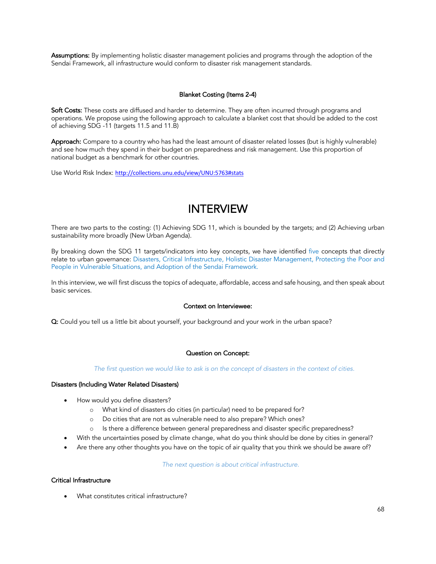Assumptions: By implementing holistic disaster management policies and programs through the adoption of the Sendai Framework, all infrastructure would conform to disaster risk management standards.

### Blanket Costing (Items 2-4)

Soft Costs: These costs are diffused and harder to determine. They are often incurred through programs and operations. We propose using the following approach to calculate a blanket cost that should be added to the cost of achieving SDG -11 (targets 11.5 and 11.B)

Approach: Compare to a country who has had the least amount of disaster related losses (but is highly vulnerable) and see how much they spend in their budget on preparedness and risk management. Use this proportion of national budget as a benchmark for other countries.

Use World Risk Index: http://collections.unu.edu/view/UNU:5763#stats

# INTERVIEW

There are two parts to the costing: (1) Achieving SDG 11, which is bounded by the targets; and (2) Achieving urban sustainability more broadly (New Urban Agenda).

By breaking down the SDG 11 targets/indicators into key concepts, we have identified five concepts that directly relate to urban governance: Disasters, Critical Infrastructure, Holistic Disaster Management, Protecting the Poor and People in Vulnerable Situations, and Adoption of the Sendai Framework.

In this interview, we will first discuss the topics of adequate, affordable, access and safe housing, and then speak about basic services.

#### Context on Interviewee:

Q: Could you tell us a little bit about yourself, your background and your work in the urban space?

#### Question on Concept:

*The first question we would like to ask is on the concept of disasters in the context of cities.* 

#### Disasters (Including Water Related Disasters)

- How would you define disasters?
	- o What kind of disasters do cities (in particular) need to be prepared for?
	- o Do cities that are not as vulnerable need to also prepare? Which ones?
	- o Is there a difference between general preparedness and disaster specific preparedness?
- With the uncertainties posed by climate change, what do you think should be done by cities in general?
- Are there any other thoughts you have on the topic of air quality that you think we should be aware of?

#### *The next question is about critical infrastructure.*

#### Critical Infrastructure

• What constitutes critical infrastructure?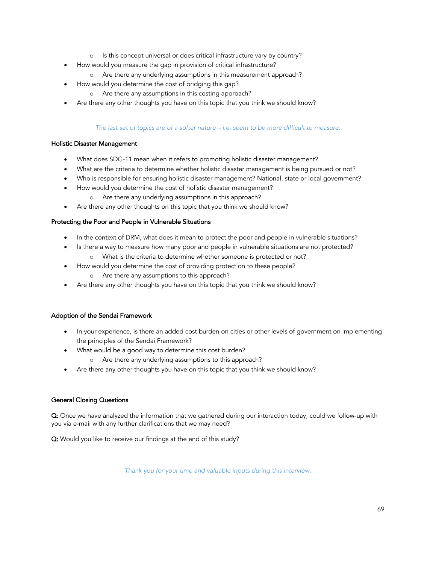- o Is this concept universal or does critical infrastructure vary by country?
- How would you measure the gap in provision of critical infrastructure?
	- o Are there any underlying assumptions in this measurement approach?
- How would you determine the cost of bridging this gap?
	- o Are there any assumptions in this costing approach?
- Are there any other thoughts you have on this topic that you think we should know?

### *The last set of topics are of a softer nature – i.e. seem to be more difficult to measure.*

### Holistic Disaster Management

- What does SDG-11 mean when it refers to promoting holistic disaster management?
- What are the criteria to determine whether holistic disaster management is being pursued or not?
- Who is responsible for ensuring holistic disaster management? National, state or local government?
- How would you determine the cost of holistic disaster management?
	- o Are there any underlying assumptions in this approach?
- Are there any other thoughts on this topic that you think we should know?

### Protecting the Poor and People in Vulnerable Situations

- In the context of DRM, what does it mean to protect the poor and people in vulnerable situations?
- Is there a way to measure how many poor and people in vulnerable situations are not protected?
- o What is the criteria to determine whether someone is protected or not? • How would you determine the cost of providing protection to these people?
	- o Are there any assumptions to this approach?
	- Are there any other thoughts you have on this topic that you think we should know?

### Adoption of the Sendai Framework

- In your experience, is there an added cost burden on cities or other levels of government on implementing the principles of the Sendai Framework?
	- What would be a good way to determine this cost burden?
		- o Are there any underlying assumptions to this approach?
- Are there any other thoughts you have on this topic that you think we should know?

### General Closing Questions

Q: Once we have analyzed the information that we gathered during our interaction today, could we follow-up with you via e-mail with any further clarifications that we may need?

Q: Would you like to receive our findings at the end of this study?

*Thank you for your time and valuable inputs during this interview.*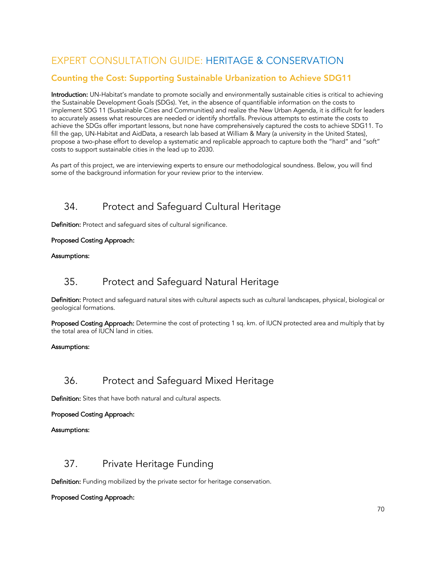# EXPERT CONSULTATION GUIDE: HERITAGE & CONSERVATION

### Counting the Cost: Supporting Sustainable Urbanization to Achieve SDG11

Introduction: UN-Habitat's mandate to promote socially and environmentally sustainable cities is critical to achieving the Sustainable Development Goals (SDGs). Yet, in the absence of quantifiable information on the costs to implement SDG 11 (Sustainable Cities and Communities) and realize the New Urban Agenda, it is difficult for leaders to accurately assess what resources are needed or identify shortfalls. Previous attempts to estimate the costs to achieve the SDGs offer important lessons, but none have comprehensively captured the costs to achieve SDG11. To fill the gap, UN-Habitat and AidData, a research lab based at William & Mary (a university in the United States), propose a two-phase effort to develop a systematic and replicable approach to capture both the "hard" and "soft" costs to support sustainable cities in the lead up to 2030.

As part of this project, we are interviewing experts to ensure our methodological soundness. Below, you will find some of the background information for your review prior to the interview.

## 34. Protect and Safeguard Cultural Heritage

Definition: Protect and safeguard sites of cultural significance.

### Proposed Costing Approach:

### Assumptions:

### 35. Protect and Safeguard Natural Heritage

Definition: Protect and safeguard natural sites with cultural aspects such as cultural landscapes, physical, biological or geological formations.

Proposed Costing Approach: Determine the cost of protecting 1 sq. km. of IUCN protected area and multiply that by the total area of IUCN land in cities.

### Assumptions:

## 36. Protect and Safeguard Mixed Heritage

Definition: Sites that have both natural and cultural aspects.

### Proposed Costing Approach:

### Assumptions:

### 37. Private Heritage Funding

Definition: Funding mobilized by the private sector for heritage conservation.

### Proposed Costing Approach: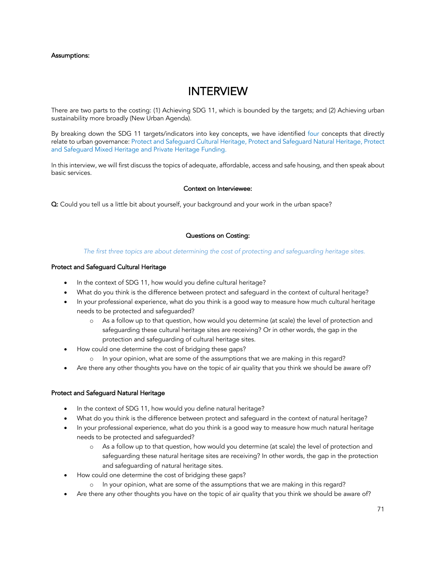### Assumptions:

# INTERVIEW

There are two parts to the costing: (1) Achieving SDG 11, which is bounded by the targets; and (2) Achieving urban sustainability more broadly (New Urban Agenda).

By breaking down the SDG 11 targets/indicators into key concepts, we have identified four concepts that directly relate to urban governance: Protect and Safeguard Cultural Heritage, Protect and Safeguard Natural Heritage, Protect and Safeguard Mixed Heritage and Private Heritage Funding.

In this interview, we will first discuss the topics of adequate, affordable, access and safe housing, and then speak about basic services.

### Context on Interviewee:

Q: Could you tell us a little bit about yourself, your background and your work in the urban space?

### Questions on Costing:

#### *The first three topics are about determining the cost of protecting and safeguarding heritage sites.*

### Protect and Safeguard Cultural Heritage

- In the context of SDG 11, how would you define cultural heritage?
- What do you think is the difference between protect and safeguard in the context of cultural heritage?
- In your professional experience, what do you think is a good way to measure how much cultural heritage needs to be protected and safeguarded?
	- o As a follow up to that question, how would you determine (at scale) the level of protection and safeguarding these cultural heritage sites are receiving? Or in other words, the gap in the protection and safeguarding of cultural heritage sites.
- How could one determine the cost of bridging these gaps?
	- o In your opinion, what are some of the assumptions that we are making in this regard?
- Are there any other thoughts you have on the topic of air quality that you think we should be aware of?

#### Protect and Safeguard Natural Heritage

- In the context of SDG 11, how would you define natural heritage?
- What do you think is the difference between protect and safeguard in the context of natural heritage?
- In your professional experience, what do you think is a good way to measure how much natural heritage needs to be protected and safeguarded?
	- o As a follow up to that question, how would you determine (at scale) the level of protection and safeguarding these natural heritage sites are receiving? In other words, the gap in the protection and safeguarding of natural heritage sites.
- How could one determine the cost of bridging these gaps?
	- o In your opinion, what are some of the assumptions that we are making in this regard?
- Are there any other thoughts you have on the topic of air quality that you think we should be aware of?